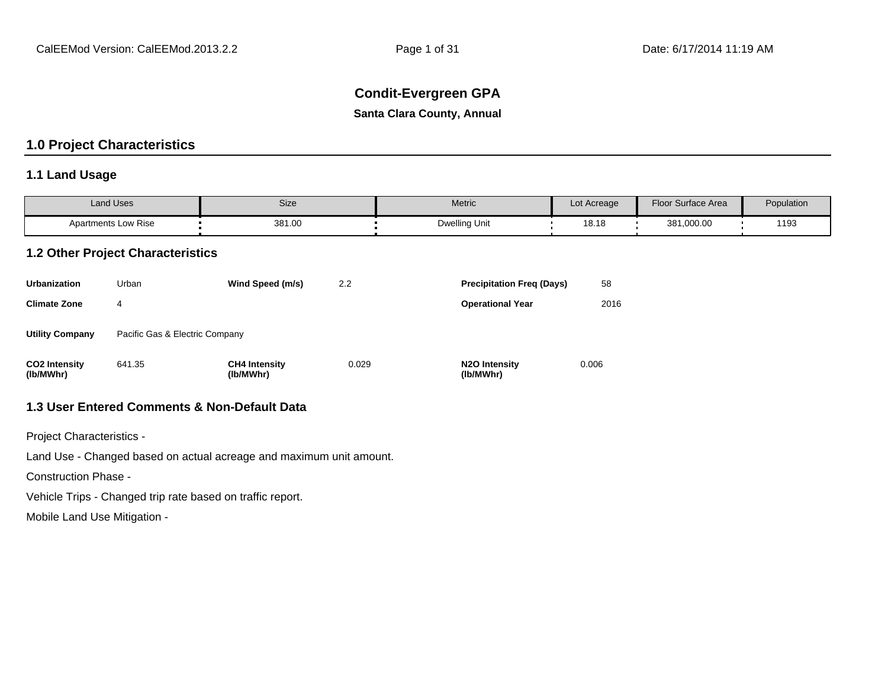## **Condit-Evergreen GPA**

**Santa Clara County, Annual**

## **1.0 Project Characteristics**

## **1.1 Land Usage**

| <b>Land Uses</b>           | Size   | Metric               | Lot Acreage | Floor Surface Area | Population |
|----------------------------|--------|----------------------|-------------|--------------------|------------|
| <b>Apartments Low Rise</b> | 381.00 | <b>Dwelling Unit</b> | 18.18       | 381,000.00         | 1193       |

#### **1.2 Other Project Characteristics**

| <b>Urbanization</b>               | Urban                          | Wind Speed (m/s)                  | $2.2^{\circ}$ | <b>Precipitation Freg (Days)</b>        | 58    |
|-----------------------------------|--------------------------------|-----------------------------------|---------------|-----------------------------------------|-------|
| <b>Climate Zone</b>               | 4                              |                                   |               | <b>Operational Year</b>                 | 2016  |
| <b>Utility Company</b>            | Pacific Gas & Electric Company |                                   |               |                                         |       |
| <b>CO2 Intensity</b><br>(lb/MWhr) | 641.35                         | <b>CH4 Intensity</b><br>(lb/MWhr) | 0.029         | N <sub>2</sub> O Intensity<br>(lb/MWhr) | 0.006 |

## **1.3 User Entered Comments & Non-Default Data**

Project Characteristics -

Land Use - Changed based on actual acreage and maximum unit amount.

Construction Phase -

Vehicle Trips - Changed trip rate based on traffic report.

Mobile Land Use Mitigation -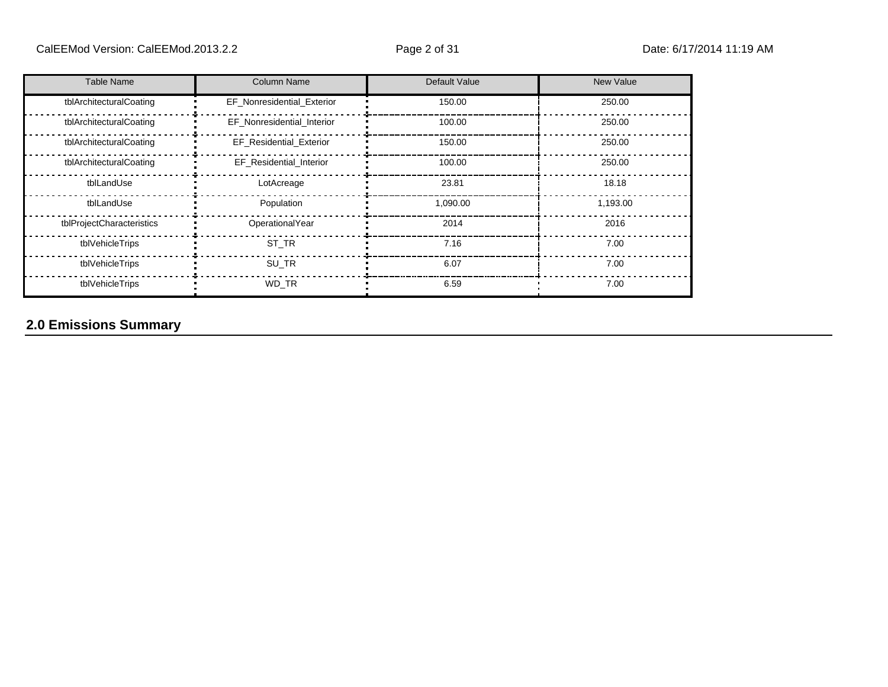| <b>Table Name</b>         | <b>Column Name</b>             | Default Value | New Value |
|---------------------------|--------------------------------|---------------|-----------|
| tblArchitecturalCoating   | EF_Nonresidential_Exterior     | 150.00        | 250.00    |
| tblArchitecturalCoating   | EF Nonresidential Interior     | 100.00        | 250.00    |
| tblArchitecturalCoating   | <b>EF Residential Exterior</b> | 150.00        | 250.00    |
| tblArchitecturalCoating   | EF_Residential_Interior        | 100.00        | 250.00    |
| tblLandUse                | LotAcreage                     | 23.81         | 18.18     |
| tblLandUse                | Population                     | 1,090.00      | 1,193.00  |
| tblProjectCharacteristics | OperationalYear                | 2014          | 2016      |
| tblVehicleTrips           | ST TR                          | 7.16          | 7.00      |
| tblVehicleTrips           | SU_TR                          | 6.07          | 7.00      |
| tblVehicleTrips           | WD TR                          | 6.59          | 7.00      |

## **2.0 Emissions Summary**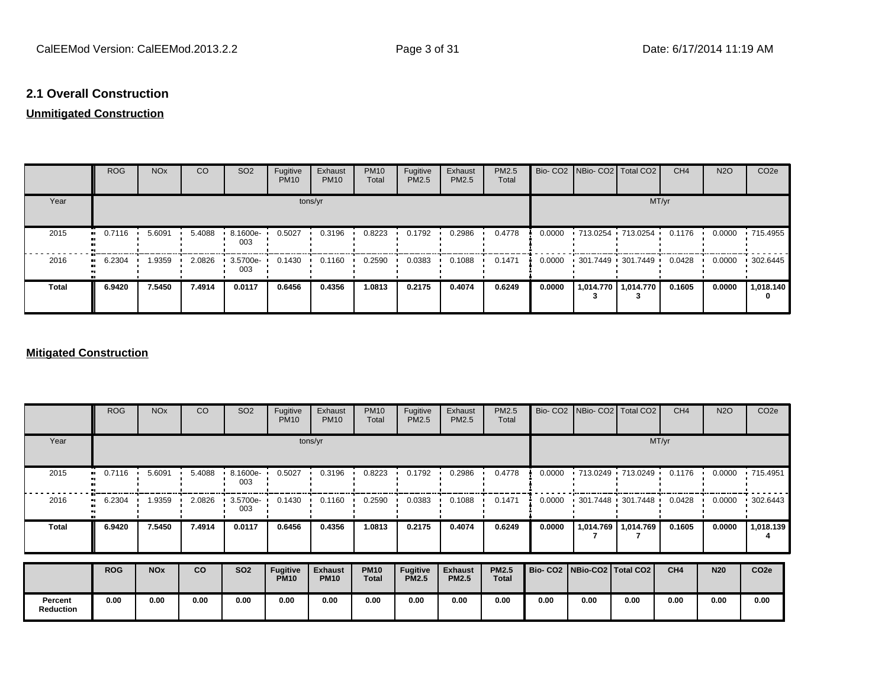### **2.1 Overall Construction**

## **Unmitigated Construction**

|              | <b>ROG</b>                 | <b>NO<sub>x</sub></b> | CO     | SO <sub>2</sub> | Fugitive<br><b>PM10</b> | Exhaust<br><b>PM10</b> | <b>PM10</b><br>Total | Fugitive<br><b>PM2.5</b> | Exhaust<br>PM2.5 | PM2.5<br>Total |        | Bio- CO2   NBio- CO2   Total CO2          | CH <sub>4</sub> | <b>N2O</b> | CO <sub>2e</sub> |
|--------------|----------------------------|-----------------------|--------|-----------------|-------------------------|------------------------|----------------------|--------------------------|------------------|----------------|--------|-------------------------------------------|-----------------|------------|------------------|
| Year         |                            |                       |        |                 |                         | tons/yr                |                      |                          |                  |                |        | MT/yr                                     |                 |            |                  |
| 2015         | 0.7116<br>$\bullet$        | 5.6091                | 5.4088 | 8.1600e-<br>003 | 0.5027                  | 0.3196                 | 0.8223               | 0.1792                   | 0.2986           | 0.4778         | 0.0000 | • 713.0254 • 713.0254 •                   | 0.1176          | 0.0000     | .715.4955        |
| 2016         | 6.2304<br>$\bullet\bullet$ | 1.9359                | 2.0826 | 3.5700e-<br>003 | 0.1430                  | 0.1160                 | 0.2590               | 0.0383                   | 0.1088           | 0.1471         | 0.0000 | $\cdot$ 301.7449 $\cdot$ 301.7449 $\cdot$ | 0.0428          | 0.0000     | 302.6445         |
| <b>Total</b> | 6.9420                     | 7.5450                | 7.4914 | 0.0117          | 0.6456                  | 0.4356                 | 1.0813               | 0.2175                   | 0.4074           | 0.6249         | 0.0000 | 1,014.770   1,014.770                     | 0.1605          | 0.0000     | 1,018.140<br>0   |

### **Mitigated Construction**

|                             | <b>ROG</b> | <b>NO<sub>x</sub></b> | CO        | SO <sub>2</sub> | Fugitive<br><b>PM10</b>        | Exhaust<br><b>PM10</b>        | <b>PM10</b><br>Total        | Fugitive<br>PM2.5               | Exhaust<br>PM2.5               | PM2.5<br>Total               |                                 | Bio- CO2 NBio- CO2 Total CO2              |           | CH <sub>4</sub> | <b>N2O</b> | CO <sub>2e</sub> |
|-----------------------------|------------|-----------------------|-----------|-----------------|--------------------------------|-------------------------------|-----------------------------|---------------------------------|--------------------------------|------------------------------|---------------------------------|-------------------------------------------|-----------|-----------------|------------|------------------|
| Year                        |            | tons/yr               |           |                 |                                |                               |                             |                                 |                                |                              |                                 |                                           |           | MT/yr           |            |                  |
| 2015                        | 0.7116<br> | 5.6091                | 5.4088    | 8.1600e-<br>003 | 0.5027                         | 0.3196                        | 0.8223                      | 0.1792                          | 0.2986                         | 0.4778                       | 0.0000                          | 1713.0249 1713.0249                       |           | 0.1176          | 0.0000     | $\cdot$ 715.4951 |
| 2016                        | 6.2304<br> | 1.9359                | 2.0826    | 3.5700e-<br>003 | 0.1430                         | 0.1160                        | 0.2590                      | 0.0383                          | 0.1088                         | 0.1471                       | 0.0000                          | $\cdot$ 301.7448 $\cdot$ 301.7448 $\cdot$ |           | 0.0428          | 0.0000     | 302.6443         |
| <b>Total</b>                | 6.9420     | 7.5450                | 7.4914    | 0.0117          | 0.6456                         | 0.4356                        | 1.0813                      | 0.2175                          | 0.4074                         | 0.6249                       | 0.0000                          | 1,014.769                                 | 1,014.769 | 0.1605          | 0.0000     | 1,018.139        |
|                             | <b>ROG</b> | <b>NO<sub>x</sub></b> | <b>CO</b> | <b>SO2</b>      | <b>Fugitive</b><br><b>PM10</b> | <b>Exhaust</b><br><b>PM10</b> | <b>PM10</b><br><b>Total</b> | <b>Fugitive</b><br><b>PM2.5</b> | <b>Exhaust</b><br><b>PM2.5</b> | <b>PM2.5</b><br><b>Total</b> | Bio- CO2   NBio-CO2   Total CO2 |                                           |           | CH4             | <b>N20</b> | CO <sub>2e</sub> |
|                             |            |                       |           |                 |                                |                               |                             |                                 |                                |                              |                                 |                                           |           |                 |            |                  |
| Percent<br><b>Reduction</b> | 0.00       | 0.00                  | 0.00      | 0.00            | 0.00                           | 0.00                          | 0.00                        | 0.00                            | 0.00                           | 0.00                         | 0.00                            | 0.00                                      | 0.00      | 0.00            | 0.00       | 0.00             |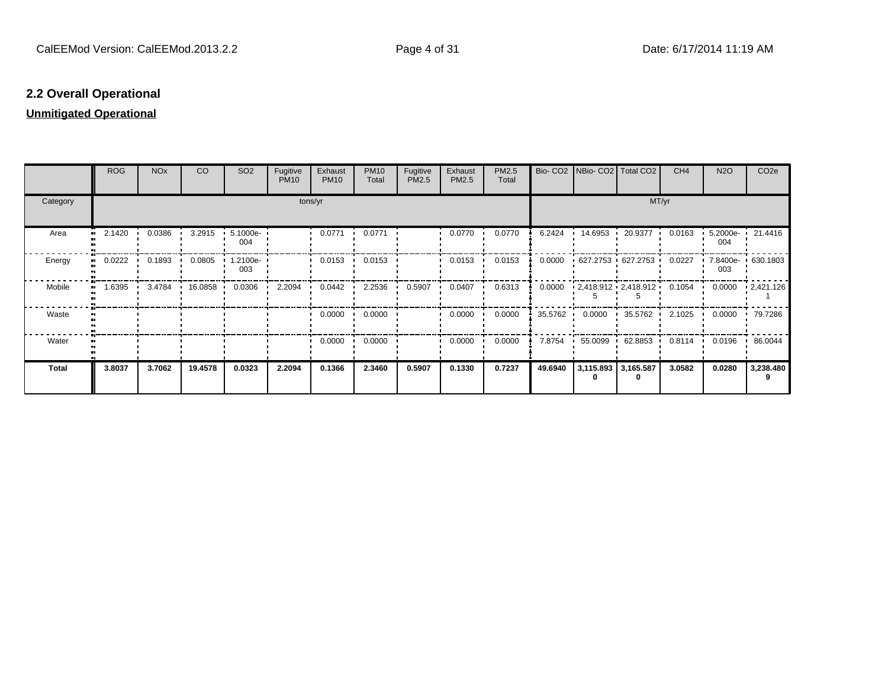## **2.2 Overall Operational**

### **Unmitigated Operational**

|              | <b>ROG</b> | <b>NO<sub>x</sub></b> | <b>CO</b> | SO <sub>2</sub>    | Fugitive<br><b>PM10</b> | Exhaust<br><b>PM10</b> | <b>PM10</b><br>Total | Fugitive<br>PM2.5 | Exhaust<br>PM2.5 | PM2.5<br>Total |         | Bio- CO2   NBio- CO2   Total CO2 |                                             | CH <sub>4</sub> | <b>N2O</b>               | CO <sub>2e</sub>  |
|--------------|------------|-----------------------|-----------|--------------------|-------------------------|------------------------|----------------------|-------------------|------------------|----------------|---------|----------------------------------|---------------------------------------------|-----------------|--------------------------|-------------------|
| Category     |            |                       |           |                    | tons/yr                 |                        |                      |                   |                  |                |         |                                  | MT/yr                                       |                 |                          |                   |
| Area         | 2.1420     | 0.0386                | 3.2915    | 5.1000e-<br>004    |                         | 0.0771                 | 0.0771               |                   | 0.0770           | 0.0770         | 6.2424  | 14.6953                          | 20.9377                                     | 0.0163          | 5.2000e-<br>004          | 21.4416           |
| Energy       | 0.0222     | 0.1893                | 0.0805    | $1.2100e -$<br>003 |                         | 0.0153                 | 0.0153               |                   | 0.0153           | 0.0153         | 0.0000  |                                  | $+627.2753 + 627.2753$                      | 0.0227          | 7.8400e- 630.1803<br>003 |                   |
| Mobile<br>   | .6395      | 3.4784                | 16.0858   | 0.0306             | 2.2094                  | 0.0442                 | 2.2536               | 0.5907            | 0.0407           | 0.6313         | 0.0000  |                                  | $\cdot$ 2,418.912 $\cdot$ 2,418.912 $\cdot$ | 0.1054          | 0.0000                   | $\cdot$ 2,421.126 |
| Waste        |            |                       |           |                    |                         | 0.0000                 | 0.0000               |                   | 0.0000           | 0.0000         | 35.5762 | 0.0000                           | 35.5762                                     | 2.1025          | 0.0000                   | 79.7286           |
| Water        |            |                       |           |                    |                         | 0.0000                 | 0.0000               |                   | 0.0000           | 0.0000         | 7.8754  |                                  | 55.0099 62.8853                             | 0.8114          | 0.0196                   | .86.0044          |
| <b>Total</b> | 3.8037     | 3.7062                | 19.4578   | 0.0323             | 2.2094                  | 0.1366                 | 2.3460               | 0.5907            | 0.1330           | 0.7237         | 49.6940 | 3,115.893<br>0                   | 3,165.587                                   | 3.0582          | 0.0280                   | 3,238.480         |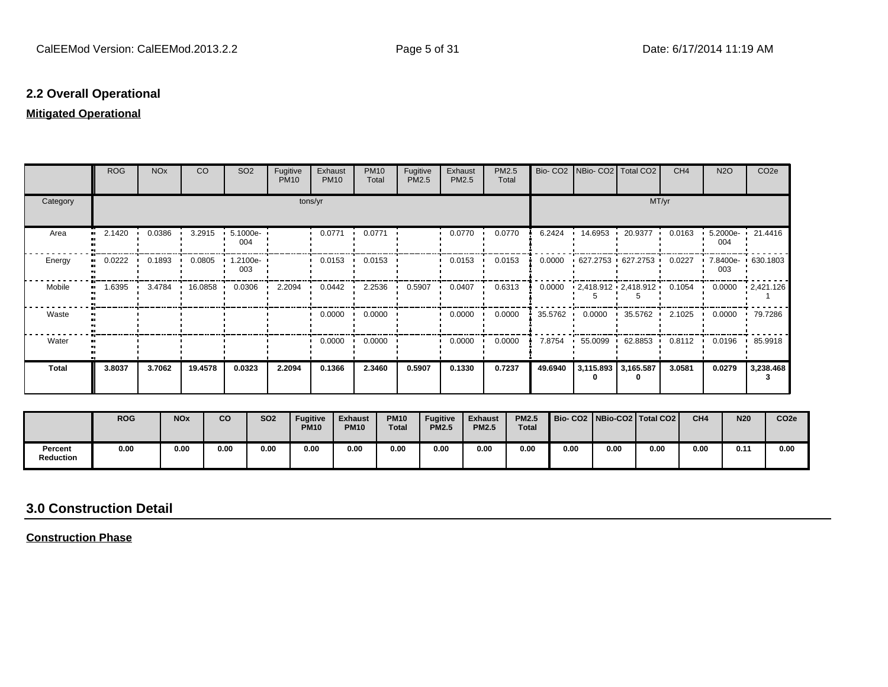## **2.2 Overall Operational**

### **Mitigated Operational**

|              | <b>ROG</b> | <b>NO<sub>x</sub></b> | CO      | SO <sub>2</sub> | Fugitive<br><b>PM10</b> | Exhaust<br><b>PM10</b> | <b>PM10</b><br>Total | Fugitive<br>PM2.5 | Exhaust<br>PM2.5 | PM2.5<br>Total |           | Bio- CO2   NBio- CO2   Total CO2 |                         | CH <sub>4</sub> | <b>N2O</b>         | CO <sub>2e</sub>  |
|--------------|------------|-----------------------|---------|-----------------|-------------------------|------------------------|----------------------|-------------------|------------------|----------------|-----------|----------------------------------|-------------------------|-----------------|--------------------|-------------------|
| Category     |            |                       |         |                 | tons/yr                 |                        |                      |                   |                  |                |           |                                  | MT/yr                   |                 |                    |                   |
| Area         | 2.1420<br> | 0.0386                | 3.2915  | 5.1000e-<br>004 |                         | 0.0771                 | 0.0771               |                   | 0.0770           | 0.0770         | 6.2424    | 14.6953 ·                        | 20.9377                 | 0.0163          | $5.2000e -$<br>004 | 21.4416           |
| Energy<br>., | 0.0222     | 0.1893                | 0.0805  | 1.2100e-<br>003 |                         | 0.0153                 | 0.0153               |                   | 0.0153           | 0.0153         | 0.0000    | 627.2753 627.2753                |                         | 0.0227          | 003                | 7.8400e- 630.1803 |
| Mobile       | 1.6395<br> | 3.4784                | 16.0858 | 0.0306          | 2.2094                  | 0.0442                 | 2.2536               | 0.5907            | 0.0407           | 0.6313         | 0.0000    | $-2,418.912 - 2,418.912$         |                         | 0.1054          | 0.0000             | $\cdot$ 2,421.126 |
| Waste        |            |                       |         |                 |                         | 0.0000                 | 0.0000               |                   | 0.0000           | 0.0000         | 35.5762 · | 0.0000                           | $\cdot$ 35.5762 $\cdot$ | 2.1025          | 0.0000             | 79.7286           |
| Water        |            |                       |         |                 |                         | 0.0000                 | 0.0000               |                   | 0.0000           | 0.0000         | 7.8754    | 55.0099                          | $+62.8853$              | 0.8112          | 0.0196             | 85.9918           |
| Total        | 3.8037     | 3.7062                | 19.4578 | 0.0323          | 2.2094                  | 0.1366                 | 2.3460               | 0.5907            | 0.1330           | 0.7237         | 49.6940   | 3,115.893 3,165.587              |                         | 3.0581          | 0.0279             | 3,238.468         |

|                             | <b>ROG</b> | <b>NO<sub>x</sub></b> | CO   | <b>SO2</b> | <b>Fugitive</b><br><b>PM10</b> | <b>Exhaust</b><br><b>PM10</b> | <b>PM10</b><br><b>Total</b> | <b>Fugitive</b><br><b>PM2.5</b> | <b>Exhaust</b><br><b>PM2.5</b> | <b>PM2.5</b><br><b>Total</b> |      |      | Bio-CO2 NBio-CO2 Total CO2 | CH <sub>4</sub> | <b>N20</b> | CO <sub>2e</sub> |
|-----------------------------|------------|-----------------------|------|------------|--------------------------------|-------------------------------|-----------------------------|---------------------------------|--------------------------------|------------------------------|------|------|----------------------------|-----------------|------------|------------------|
| Percent<br><b>Reduction</b> | 0.00       | 0.00                  | 0.00 | 0.00       | 0.00                           | 0.00                          | 0.00                        | 0.00                            | 0.00                           | 0.00                         | 0.00 | 0.00 | 0.00                       | 0.00            | 0.11       | 0.00             |

## **3.0 Construction Detail**

**Construction Phase**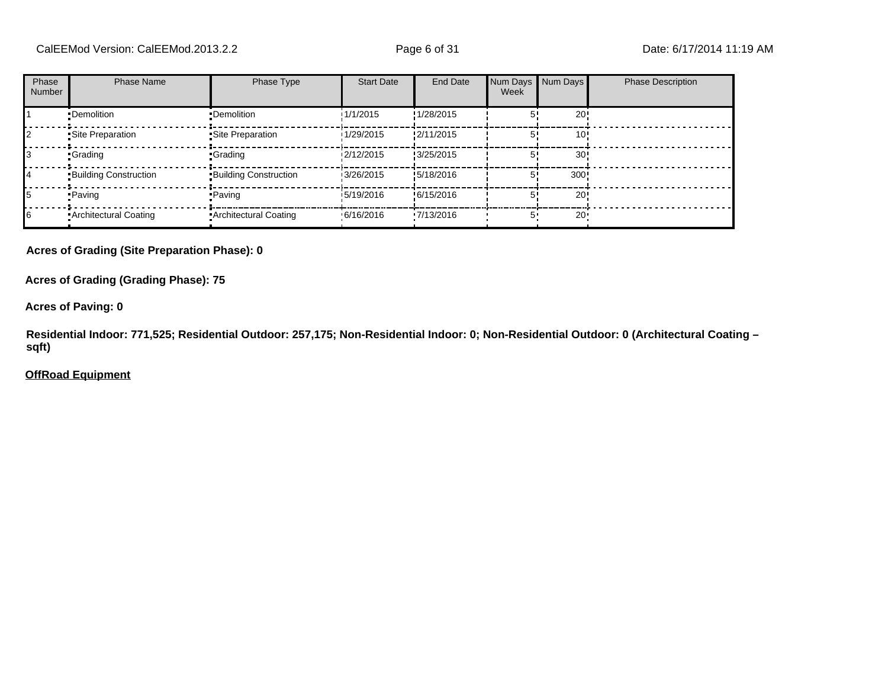| Phase<br>Number | <b>Phase Name</b>            | Phase Type                   | <b>Start Date</b> | End Date   | Num Days Num Days<br>Week |                 | <b>Phase Description</b> |
|-----------------|------------------------------|------------------------------|-------------------|------------|---------------------------|-----------------|--------------------------|
|                 | •Demolition                  | •Demolition                  | 1/1/2015          | !1/28/2015 |                           | 20 <sub>1</sub> |                          |
|                 | Site Preparation             | Site Preparation             | 1/29/2015         | !2/11/2015 |                           | 10              |                          |
|                 | •Grading                     | <b>Grading</b>               | 12/12/2015        | !3/25/2015 |                           | 30              |                          |
| 14              | <b>Building Construction</b> | <b>Building Construction</b> | 3/26/2015         | !5/18/2016 |                           | 300             |                          |
| 15              | •Paving                      | •Paving                      | 15/19/2016        | !6/15/2016 |                           | 20 <sub>1</sub> |                          |
| 16              | Architectural Coating        | Architectural Coating        | .6/16/2016        | 17/13/2016 |                           | $20 -$          |                          |

#### **Acres of Grading (Site Preparation Phase): 0**

**Acres of Grading (Grading Phase): 75**

**Acres of Paving: 0**

**Residential Indoor: 771,525; Residential Outdoor: 257,175; Non-Residential Indoor: 0; Non-Residential Outdoor: 0 (Architectural Coating – sqft)**

#### **OffRoad Equipment**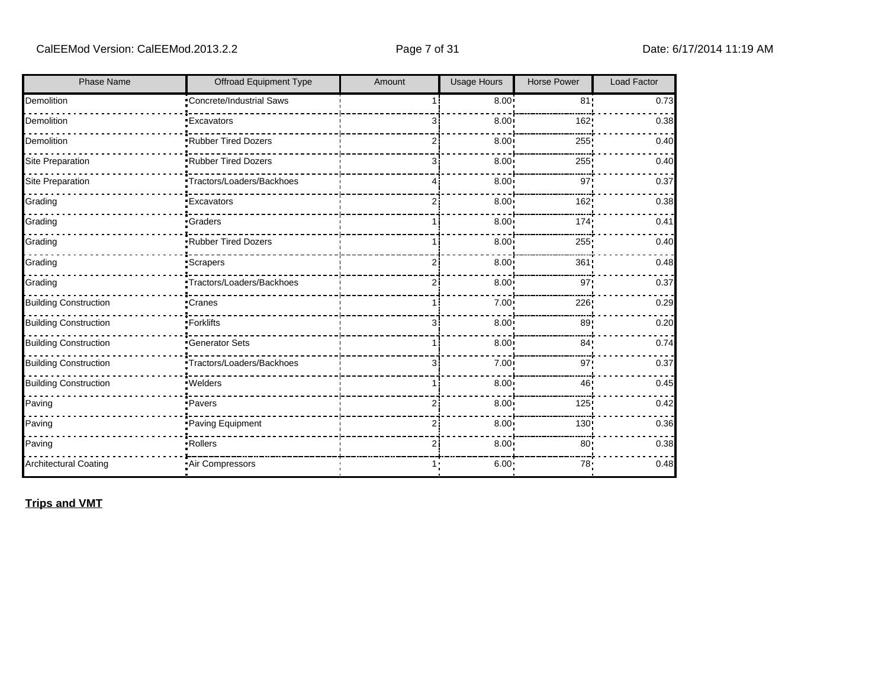| <b>Phase Name</b>            | Offroad Equipment Type    | Amount         | <b>Usage Hours</b> | Horse Power     | Load Factor |
|------------------------------|---------------------------|----------------|--------------------|-----------------|-------------|
| Demolition                   | Concrete/Industrial Saws  |                | $8.00$ !           | 81!             | 0.73        |
| Demolition                   | <b>Excavators</b>         |                | 8.00               | 162!            | 0.38        |
| Demolition                   | Rubber Tired Dozers       | 2              | 8.00               | 255             | 0.40        |
| <b>Site Preparation</b>      | Rubber Tired Dozers       | 3              | 8.00               | 255             | 0.40        |
| <b>Site Preparation</b>      | Tractors/Loaders/Backhoes |                | 8.00               | 97              | 0.37        |
| Grading                      | <b>Excavators</b>         | 2              | 8.00               | 162;            | 0.38        |
| Grading                      | Graders                   |                | 8.00               | 174             | 0.41        |
| Grading                      | Rubber Tired Dozers       |                | 8.00               | 255             | 0.40        |
| Grading                      | Scrapers <sup>-</sup>     |                | 8.00               | 361             | 0.48        |
| Grading                      | Tractors/Loaders/Backhoes | 2              | 8.00               | 97'             | 0.37        |
| <b>Building Construction</b> | Cranes                    |                | 7.00 <sub>1</sub>  | 226!            | 0.29        |
| <b>Building Construction</b> | -Forklifts                | 3              | 8.00               | 89:             | 0.20        |
| <b>Building Construction</b> | <b>Generator Sets</b>     |                | 8.00               | 84 <sub>1</sub> | 0.74        |
| <b>Building Construction</b> | Tractors/Loaders/Backhoes | 3              | 7.00               | 97:             | 0.37        |
| <b>Building Construction</b> | ·Welders                  |                | 8.00               | 46!             | 0.45        |
| Paving                       | ·Pavers                   |                | 8.00               | 125             | 0.42        |
| Paving                       | Paving Equipment          |                | 8.00               | 130             | 0.36        |
| Paving                       | Rollers                   | $\overline{2}$ | 8.00               | 80              | 0.38        |
| <b>Architectural Coating</b> | Air Compressors           |                | 6.00:              | 78:             | 0.48        |

**Trips and VMT**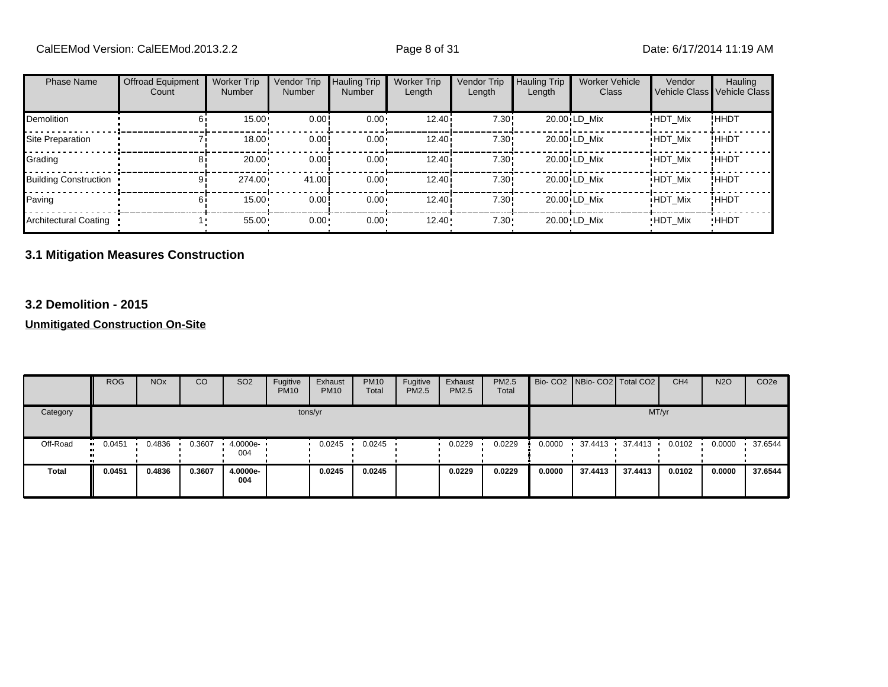| <b>Phase Name</b>            | <b>Offroad Equipment</b><br>Count | <b>Worker Trip</b><br><b>Number</b> | Vendor Trip<br><b>Number</b> | <b>Hauling Trip</b><br><b>Number</b> | <b>Worker Trip</b><br>Length | Vendor Trip<br>Length | <b>Hauling Trip</b><br>Length | <b>Worker Vehicle</b><br>Class | Vendor         | Hauling<br>Vehicle Class Vehicle Class |
|------------------------------|-----------------------------------|-------------------------------------|------------------------------|--------------------------------------|------------------------------|-----------------------|-------------------------------|--------------------------------|----------------|----------------------------------------|
| Demolition                   |                                   | 15.00                               | 0.00                         | $0.00 \cdot$                         | 12.40i                       | 7.30!                 |                               | 20.00 LD Mix                   | <b>HDT Mix</b> | ! ННDТ                                 |
| Site Preparation             |                                   | 18.00                               | 0.00!                        | $0.00 \cdot$                         | 12.40i                       | 7.30!                 |                               | 20.00 LD Mix                   | <b>HDT Mix</b> | <b>!HHDT</b>                           |
| Grading                      | 81                                | 20.00                               | 0.00!                        | $0.00 \cdot$                         | 12.40i                       | 7.30!                 |                               | 20.00 LD Mix                   | <b>HDT Mix</b> | !HHDT                                  |
| <b>Building Construction</b> | 91                                | 274.00                              | 41.00                        | $0.00 \cdot$                         | 12.40i                       | 7.30!                 |                               | 20.00 LD Mix                   | <b>HDT Mix</b> | !ННDТ                                  |
| Paving                       | 61                                | $15.00 -$                           | 0.00!                        | $0.00 \cdot$                         | 12.40i                       | 7.30!                 |                               | 20.00 LD Mix                   | <b>HDT Mix</b> | ! ННDТ                                 |
| <b>Architectural Coating</b> |                                   | 55.00                               | $0.00 -$                     | 0.00                                 | 12.40                        | $7.30 \cdot$          |                               | 20.00 LD Mix                   | <b>HDT Mix</b> | <b>HHDT</b>                            |

## **3.1 Mitigation Measures Construction**

### **3.2 Demolition - 2015**

|              | <b>ROG</b> | <b>NO<sub>x</sub></b> | CO     | SO <sub>2</sub>  | Fugitive<br><b>PM10</b> | Exhaust<br><b>PM10</b> | <b>PM10</b><br>Total | Fugitive<br><b>PM2.5</b> | Exhaust<br><b>PM2.5</b> | PM2.5<br>Total |        | Bio- CO2 NBio- CO2 Total CO2 |         | CH <sub>4</sub> | <b>N2O</b> | CO <sub>2e</sub> |
|--------------|------------|-----------------------|--------|------------------|-------------------------|------------------------|----------------------|--------------------------|-------------------------|----------------|--------|------------------------------|---------|-----------------|------------|------------------|
| Category     |            |                       |        |                  | tons/yr                 |                        |                      |                          |                         |                |        |                              | MT/yr   |                 |            |                  |
| Off-Road     | 0.0451     | 0.4836                | 0.3607 | 4.0000e ·<br>004 |                         | 0.0245                 | 0.0245               |                          | 0.0229                  | 0.0229         | 0.0000 | 37.4413                      | 37.4413 | 0.0102          | 0.0000     | 37.6544          |
| <b>Total</b> | 0.0451     | 0.4836                | 0.3607 | 4.0000e-<br>004  |                         | 0.0245                 | 0.0245               |                          | 0.0229                  | 0.0229         | 0.0000 | 37.4413                      | 37.4413 | 0.0102          | 0.0000     | 37.6544          |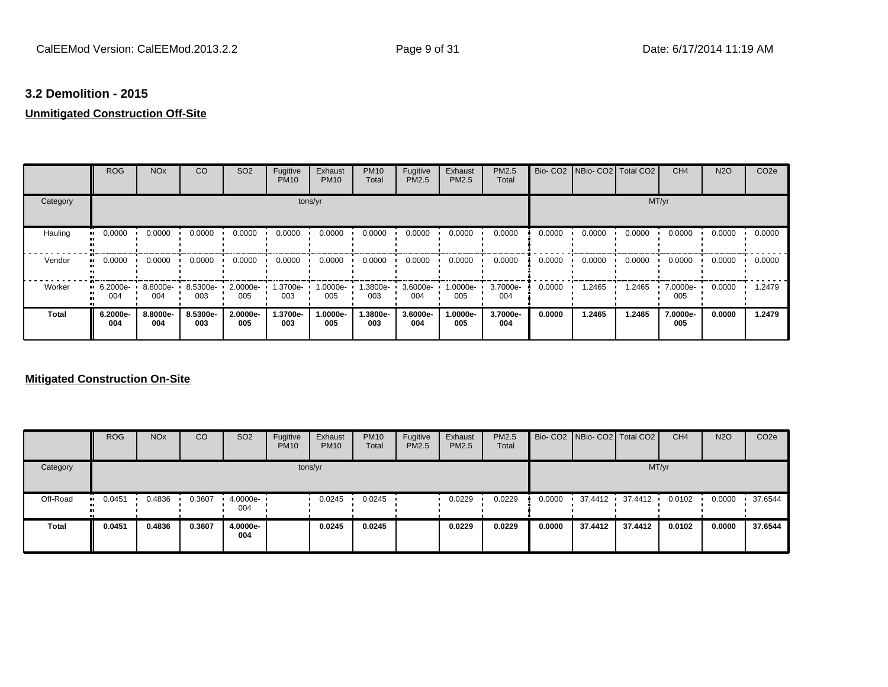## **3.2 Demolition - 2015**

## **Unmitigated Construction Off-Site**

|          | <b>ROG</b>      | <b>NO<sub>x</sub></b> | CO              | SO <sub>2</sub>    | Fugitive<br><b>PM10</b> | Exhaust<br><b>PM10</b> | <b>PM10</b><br>Total | Fugitive<br><b>PM2.5</b> | Exhaust<br>PM2.5 | <b>PM2.5</b><br>Total |        | Bio- CO2   NBio- CO2   Total CO2 |        | CH <sub>4</sub> | <b>N2O</b> | CO <sub>2e</sub> |
|----------|-----------------|-----------------------|-----------------|--------------------|-------------------------|------------------------|----------------------|--------------------------|------------------|-----------------------|--------|----------------------------------|--------|-----------------|------------|------------------|
| Category |                 |                       |                 |                    |                         | tons/yr                |                      |                          |                  |                       |        |                                  |        | MT/yr           |            |                  |
| Hauling  | 0.0000          | 0.0000                | 0.0000          | 0.0000             | 0.0000                  | 0.0000                 | 0.0000               | 0.0000                   | 0.0000           | 0.0000                | 0.0000 | 0.0000                           | 0.0000 | 0.0000          | 0.0000     | 0.0000           |
| Vendor   | 0.0000          | 0.0000                | 0.0000          | 0.0000             | 0.0000                  | 0.0000                 | 0.0000               | 0.0000                   | 0.0000           | 0.0000                | 0.0000 | 0.0000                           | 0.0000 | 0.0000          | 0.0000     | 0.0000           |
| Worker   | 6.2000e-<br>004 | 8.8000e-<br>004       | 8.5300e-<br>003 | $2.0000e -$<br>005 | 1.3700e- L<br>003       | 1.0000e-<br>005        | 1.3800e- •<br>003    | 3.6000e-<br>004          | 1.0000e-<br>005  | 3.7000e-<br>004       | 0.0000 | .2465                            | 1.2465 | 7.0000e-<br>005 | 0.0000     | 1.2479           |
| Total    | 6.2000e-<br>004 | 8.8000e-<br>004       | 8.5300e-<br>003 | 2.0000e-<br>005    | 1.3700e-<br>003         | 1.0000e-<br>005        | 1.3800e-<br>003      | 3.6000e-<br>004          | 1.0000e-<br>005  | 3.7000e-<br>004       | 0.0000 | 1.2465                           | 1.2465 | 7.0000e-<br>005 | 0.0000     | 1.2479           |

|              | <b>ROG</b>           | <b>NO<sub>x</sub></b> | CO     | SO <sub>2</sub>    | Fugitive<br><b>PM10</b> | Exhaust<br><b>PM10</b> | <b>PM10</b><br>Total | Fugitive<br><b>PM2.5</b> | Exhaust<br>PM2.5 | <b>PM2.5</b><br>Total |        | Bio- CO2 NBio- CO2 Total CO2 |         | CH <sub>4</sub> | <b>N2O</b> | CO <sub>2e</sub> |
|--------------|----------------------|-----------------------|--------|--------------------|-------------------------|------------------------|----------------------|--------------------------|------------------|-----------------------|--------|------------------------------|---------|-----------------|------------|------------------|
| Category     |                      |                       |        |                    |                         | tons/yr                |                      |                          |                  |                       |        |                              | MT/yr   |                 |            |                  |
| Off-Road     | 0.0451<br><b>ALC</b> | 0.4836                | 0.3607 | $4.0000e -$<br>004 |                         | 0.0245                 | 0.0245               |                          | 0.0229           | 0.0229                | 0.0000 | 37.4412 ·                    | 37.4412 | 0.0102          | 0.0000     | 37.6544          |
| <b>Total</b> | 0.0451               | 0.4836                | 0.3607 | 4.0000e-<br>004    |                         | 0.0245                 | 0.0245               |                          | 0.0229           | 0.0229                | 0.0000 | 37.4412                      | 37.4412 | 0.0102          | 0.0000     | 37.6544          |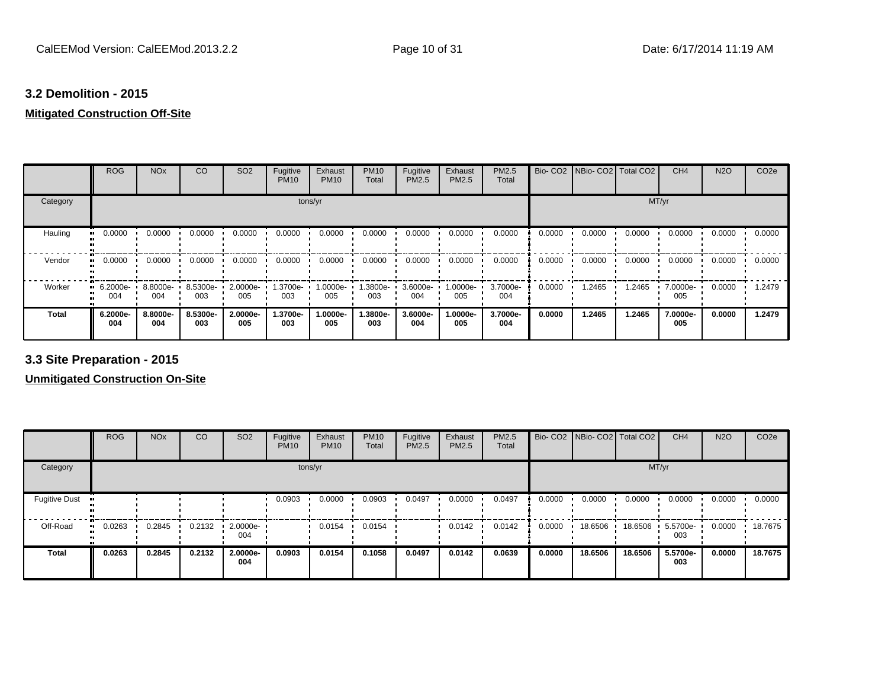## **3.2 Demolition - 2015**

## **Mitigated Construction Off-Site**

|              | <b>ROG</b>                     | <b>NO<sub>x</sub></b> | CO              | SO <sub>2</sub>      | Fugitive<br><b>PM10</b> | Exhaust<br><b>PM10</b> | <b>PM10</b><br>Total | Fugitive<br><b>PM2.5</b> | Exhaust<br>PM2.5 | <b>PM2.5</b><br>Total |        | Bio- CO2   NBio- CO2   Total CO2 |        | CH <sub>4</sub> | <b>N2O</b> | CO <sub>2e</sub> |
|--------------|--------------------------------|-----------------------|-----------------|----------------------|-------------------------|------------------------|----------------------|--------------------------|------------------|-----------------------|--------|----------------------------------|--------|-----------------|------------|------------------|
| Category     |                                |                       |                 |                      |                         | tons/yr                |                      |                          |                  |                       |        |                                  |        | MT/yr           |            |                  |
| Hauling      | 0.0000                         | 0.0000                | 0.0000          | 0.0000               | 0.0000                  | 0.0000                 | 0.0000               | 0.0000                   | 0.0000           | 0.0000                | 0.0000 | 0.0000                           | 0.0000 | 0.0000          | 0.0000     | 0.0000           |
| Vendor       | 0.0000<br>$\bullet$            | 0.0000                | 0.0000          | 0.0000               | 0.0000                  | 0.0000                 | 0.0000               | 0.0000                   | 0.0000           | 0.0000                | 0.0000 | 0.0000                           | 0.0000 | 0.0000          | 0.0000     | 0.0000           |
| Worker       | $\blacksquare$ 6.2000e-<br>004 | 8.8000e-<br>004       | 8.5300e-<br>003 | $2.0000e - 1$<br>005 | 1.3700e-<br>003         | 1.0000e-<br>005        | 1.3800e-<br>003      | 3.6000e-<br>004          | 1.0000e-<br>005  | 3.7000e-<br>004       | 0.0000 | .2465                            | 1.2465 | 7.0000e-<br>005 | 0.0000     | 1.2479           |
| <b>Total</b> | 6.2000e-<br>004                | 8.8000e-<br>004       | 8.5300e-<br>003 | 2.0000e-<br>005      | 1.3700e-<br>003         | 1.0000e-<br>005        | 1.3800e-<br>003      | 3.6000e-<br>004          | 1.0000e-<br>005  | 3.7000e-<br>004       | 0.0000 | 1.2465                           | 1.2465 | 7.0000e-<br>005 | 0.0000     | 1.2479           |

**3.3 Site Preparation - 2015**

|                       | <b>ROG</b> | <b>NO<sub>x</sub></b> | CO     | SO <sub>2</sub> | Fugitive<br><b>PM10</b> | Exhaust<br><b>PM10</b> | <b>PM10</b><br>Total | Fugitive<br><b>PM2.5</b> | Exhaust<br><b>PM2.5</b> | <b>PM2.5</b><br>Total |        | Bio- CO2   NBio- CO2   Total CO2 |         | CH <sub>4</sub> | <b>N2O</b> | CO <sub>2e</sub> |
|-----------------------|------------|-----------------------|--------|-----------------|-------------------------|------------------------|----------------------|--------------------------|-------------------------|-----------------------|--------|----------------------------------|---------|-----------------|------------|------------------|
| Category              |            |                       |        |                 |                         | tons/yr                |                      |                          |                         |                       |        |                                  | MT/yr   |                 |            |                  |
| <b>Fugitive Dust</b>  |            |                       |        |                 | 0.0903                  | 0.0000                 | 0.0903               | 0.0497                   | 0.0000                  | 0.0497                | 0.0000 | 0.0000                           | 0.0000  | 0.0000          | 0.0000     | 0.0000           |
| Off-Road<br>$\bullet$ | 0.0263     | 0.2845                | 0.2132 | 2.0000e-<br>004 |                         | 0.0154                 | 0.0154               |                          | 0.0142                  | 0.0142                | 0.0000 | 18.6506                          | 18.6506 | 5.5700e-<br>003 | 0.0000     | 18.7675          |
| <b>Total</b>          | 0.0263     | 0.2845                | 0.2132 | 2.0000e-<br>004 | 0.0903                  | 0.0154                 | 0.1058               | 0.0497                   | 0.0142                  | 0.0639                | 0.0000 | 18.6506                          | 18.6506 | 5.5700e-<br>003 | 0.0000     | 18.7675          |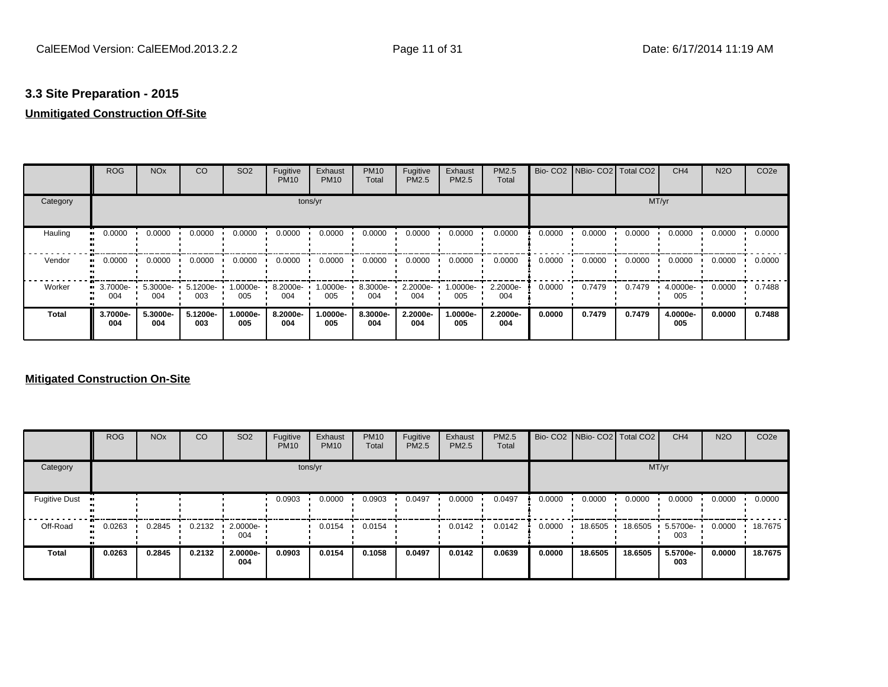## **3.3 Site Preparation - 2015**

## **Unmitigated Construction Off-Site**

|          | <b>ROG</b>      | <b>NO<sub>x</sub></b> | CO              | SO <sub>2</sub>   | Fugitive<br><b>PM10</b> | Exhaust<br><b>PM10</b> | <b>PM10</b><br>Total | Fugitive<br><b>PM2.5</b> | Exhaust<br>PM2.5 | <b>PM2.5</b><br>Total |        | Bio- CO2   NBio- CO2   Total CO2 |        | CH <sub>4</sub> | <b>N2O</b> | CO <sub>2e</sub> |
|----------|-----------------|-----------------------|-----------------|-------------------|-------------------------|------------------------|----------------------|--------------------------|------------------|-----------------------|--------|----------------------------------|--------|-----------------|------------|------------------|
| Category |                 |                       |                 |                   |                         | tons/yr                |                      |                          |                  |                       |        |                                  |        | MT/yr           |            |                  |
| Hauling  | 0.0000          | 0.0000                | 0.0000          | 0.0000            | 0.0000                  | 0.0000                 | 0.0000               | 0.0000                   | 0.0000           | 0.0000                | 0.0000 | 0.0000                           | 0.0000 | 0.0000          | 0.0000     | 0.0000           |
| Vendor   | 0.0000          | 0.0000                | 0.0000          | 0.0000            | 0.0000                  | 0.0000                 | 0.0000               | 0.0000                   | 0.0000           | 0.0000                | 0.0000 | 0.0000                           | 0.0000 | 0.0000          | 0.0000     | 0.0000           |
| Worker   | 3.7000e-<br>004 | 5.3000e-<br>004       | 5.1200e-<br>003 | 1.0000e- •<br>005 | 8.2000e-<br>004         | 1.0000e-<br>005        | 8.3000e-<br>004      | 2.2000e-<br>004          | 1.0000e-<br>005  | 2.2000e-<br>004       | 0.0000 | 0.7479                           | 0.7479 | 4.0000e-<br>005 | 0.0000     | 0.7488           |
| Total    | 3.7000e-<br>004 | 5.3000e-<br>004       | 5.1200e-<br>003 | $.0000e-$<br>005  | 8.2000e-<br>004         | 1.0000e-<br>005        | 8.3000e-<br>004      | 2.2000e-<br>004          | 1.0000e-<br>005  | 2.2000e-<br>004       | 0.0000 | 0.7479                           | 0.7479 | 4.0000e-<br>005 | 0.0000     | 0.7488           |

|                      | <b>ROG</b> | <b>NO<sub>x</sub></b> | CO     | SO <sub>2</sub> | Fugitive<br><b>PM10</b> | Exhaust<br><b>PM10</b> | <b>PM10</b><br>Total | Fugitive<br><b>PM2.5</b> | Exhaust<br><b>PM2.5</b> | <b>PM2.5</b><br>Total |        |         | Bio- CO2   NBio- CO2   Total CO2 | CH <sub>4</sub> | <b>N2O</b> | CO <sub>2e</sub> |
|----------------------|------------|-----------------------|--------|-----------------|-------------------------|------------------------|----------------------|--------------------------|-------------------------|-----------------------|--------|---------|----------------------------------|-----------------|------------|------------------|
| Category             |            |                       |        |                 |                         | tons/yr                |                      |                          |                         |                       |        |         |                                  | MT/yr           |            |                  |
| <b>Fugitive Dust</b> |            |                       |        |                 | 0.0903                  | 0.0000                 | 0.0903               | 0.0497                   | 0.0000                  | 0.0497                | 0.0000 | 0.0000  | 0.0000                           | 0.0000          | 0.0000     | 0.0000           |
| Off-Road             | 0.0263     | 0.2845                | 0.2132 | 2.0000e-<br>004 |                         | 0.0154                 | 0.0154               |                          | 0.0142                  | 0.0142                | 0.0000 | 18.6505 | 18.6505                          | 5.5700e-<br>003 | 0.0000     | 18.7675          |
| <b>Total</b>         | 0.0263     | 0.2845                | 0.2132 | 2.0000e-<br>004 | 0.0903                  | 0.0154                 | 0.1058               | 0.0497                   | 0.0142                  | 0.0639                | 0.0000 | 18.6505 | 18.6505                          | 5.5700e-<br>003 | 0.0000     | 18.7675          |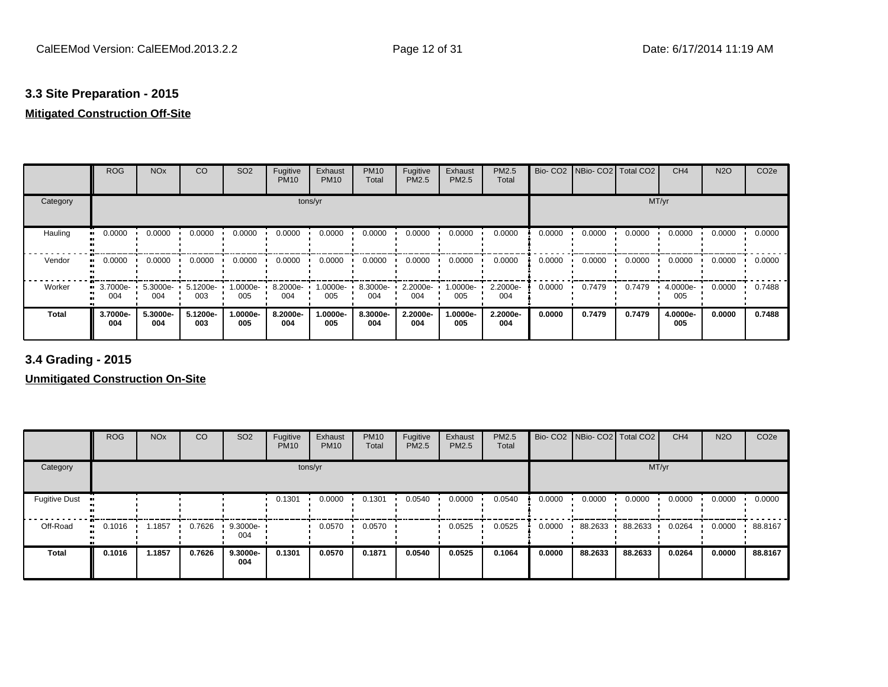## **3.3 Site Preparation - 2015**

## **Mitigated Construction Off-Site**

|          | <b>ROG</b>      | <b>NO<sub>x</sub></b> | CO              | SO <sub>2</sub> | Fugitive<br><b>PM10</b> | Exhaust<br><b>PM10</b> | <b>PM10</b><br>Total | Fugitive<br><b>PM2.5</b> | Exhaust<br>PM2.5 | <b>PM2.5</b><br>Total |        | Bio- CO2   NBio- CO2   Total CO2 |        | CH <sub>4</sub> | <b>N2O</b> | CO <sub>2e</sub> |
|----------|-----------------|-----------------------|-----------------|-----------------|-------------------------|------------------------|----------------------|--------------------------|------------------|-----------------------|--------|----------------------------------|--------|-----------------|------------|------------------|
| Category |                 |                       |                 |                 |                         | tons/yr                |                      |                          |                  |                       |        |                                  |        | MT/yr           |            |                  |
| Hauling  | 0.0000          | 0.0000                | 0.0000          | 0.0000          | 0.0000                  | 0.0000                 | 0.0000               | 0.0000                   | 0.0000           | 0.0000                | 0.0000 | 0.0000                           | 0.0000 | 0.0000          | 0.0000     | 0.0000           |
| Vendor   | 0.0000          | 0.0000                | 0.0000          | 0.0000          | 0.0000                  | 0.0000                 | 0.0000               | 0.0000                   | 0.0000           | 0.0000                | 0.0000 | 0.0000                           | 0.0000 | 0.0000          | 0.0000     | 0.0000           |
| Worker   | 3.7000e-<br>004 | 5.3000e-<br>004       | 5.1200e-<br>003 | -.0000e<br>005  | 8.2000e-<br>004         | 1.0000e-<br>005        | 8.3000e-<br>004      | 2.2000e-<br>004          | 1.0000e-<br>005  | 2.2000e-<br>004       | 0.0000 | 0.7479                           | 0.7479 | 4.0000e-<br>005 | 0.0000     | 0.7488           |
| Total    | 3.7000e-<br>004 | 5.3000e-<br>004       | 5.1200e-<br>003 | -.0000e<br>005  | 8.2000e-<br>004         | 1.0000e-<br>005        | 8.3000e-<br>004      | 2.2000e-<br>004          | 1.0000e-<br>005  | 2.2000e-<br>004       | 0.0000 | 0.7479                           | 0.7479 | 4.0000e-<br>005 | 0.0000     | 0.7488           |

**3.4 Grading - 2015**

|                      | <b>ROG</b>          | <b>NO<sub>x</sub></b> | CO     | SO <sub>2</sub> | Fugitive<br><b>PM10</b> | Exhaust<br><b>PM10</b> | <b>PM10</b><br>Total | Fugitive<br>PM2.5 | Exhaust<br><b>PM2.5</b> | <b>PM2.5</b><br>Total |        | Bio- CO2   NBio- CO2   Total CO2 |         | CH <sub>4</sub> | <b>N2O</b> | CO <sub>2e</sub> |
|----------------------|---------------------|-----------------------|--------|-----------------|-------------------------|------------------------|----------------------|-------------------|-------------------------|-----------------------|--------|----------------------------------|---------|-----------------|------------|------------------|
| Category             |                     |                       |        |                 |                         | tons/yr                |                      |                   |                         |                       |        |                                  | MT/yr   |                 |            |                  |
| <b>Fugitive Dust</b> |                     |                       |        |                 | 0.1301                  | 0.0000                 | 0.1301               | 0.0540            | 0.0000                  | 0.0540                | 0.0000 | 0.0000                           | 0.0000  | 0.0000          | 0.0000     | 0.0000           |
| Off-Road             | 0.1016<br>$\bullet$ | .1857                 | 0.7626 | 9.3000e-<br>004 |                         | 0.0570                 | 0.0570               |                   | 0.0525                  | 0.0525                | 0.0000 | 88.2633                          | 88.2633 | 0.0264          | 0.0000     | 88.8167          |
| <b>Total</b>         | 0.1016              | 1.1857                | 0.7626 | 9.3000e-<br>004 | 0.1301                  | 0.0570                 | 0.1871               | 0.0540            | 0.0525                  | 0.1064                | 0.0000 | 88.2633                          | 88.2633 | 0.0264          | 0.0000     | 88.8167          |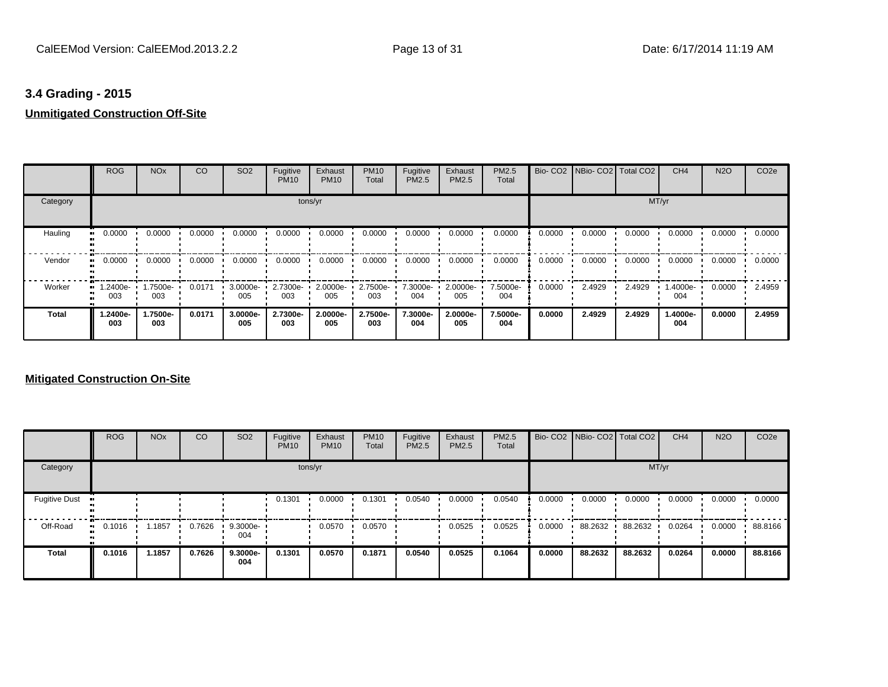## **3.4 Grading - 2015**

## **Unmitigated Construction Off-Site**

|          | <b>ROG</b>      | <b>NO<sub>x</sub></b> | CO     | SO <sub>2</sub> | Fugitive<br><b>PM10</b> | Exhaust<br><b>PM10</b> | <b>PM10</b><br>Total | Fugitive<br><b>PM2.5</b> | Exhaust<br>PM2.5 | <b>PM2.5</b><br>Total |        | Bio- CO2   NBio- CO2   Total CO2 |        | CH <sub>4</sub> | <b>N2O</b> | CO <sub>2e</sub> |
|----------|-----------------|-----------------------|--------|-----------------|-------------------------|------------------------|----------------------|--------------------------|------------------|-----------------------|--------|----------------------------------|--------|-----------------|------------|------------------|
| Category |                 |                       |        |                 |                         | tons/yr                |                      |                          |                  |                       |        |                                  |        | MT/yr           |            |                  |
| Hauling  | 0.0000          | 0.0000                | 0.0000 | 0.0000          | 0.0000                  | 0.0000                 | 0.0000               | 0.0000                   | 0.0000           | 0.0000                | 0.0000 | 0.0000                           | 0.0000 | 0.0000          | 0.0000     | 0.0000           |
| Vendor   | 0.0000          | 0.0000                | 0.0000 | 0.0000          | 0.0000                  | 0.0000                 | 0.0000               | 0.0000                   | 0.0000           | 0.0000                | 0.0000 | 0.0000                           | 0.0000 | 0.0000          | 0.0000     | 0.0000           |
| Worker   | 1.2400e-<br>003 | -.7500e<br>003        | 0.0171 | 3.0000e-<br>005 | 2.7300e-<br>003         | 2.0000e-<br>005        | 2.7500e-<br>003      | 7.3000e-<br>004          | 2.0000e-<br>005  | 7.5000e-<br>004       | 0.0000 | 2.4929                           | 2.4929 | .4000e-<br>004  | 0.0000     | 2.4959           |
| Total    | 1.2400e-<br>003 | 1.7500e-<br>003       | 0.0171 | 3.0000e-<br>005 | 2.7300e-<br>003         | 2.0000e-<br>005        | 2.7500e-<br>003      | 7.3000e-<br>004          | 2.0000e-<br>005  | 7.5000e-<br>004       | 0.0000 | 2.4929                           | 2.4929 | 1.4000e-<br>004 | 0.0000     | 2.4959           |

|                      | <b>ROG</b>                 | <b>NO<sub>x</sub></b> | CO     | SO <sub>2</sub> | Fugitive<br><b>PM10</b> | Exhaust<br><b>PM10</b> | <b>PM10</b><br>Total | Fugitive<br><b>PM2.5</b> | Exhaust<br>PM2.5 | <b>PM2.5</b><br>Total |        | Bio- CO2   NBio- CO2   Total CO2 |         | CH <sub>4</sub> | <b>N2O</b> | CO <sub>2e</sub> |
|----------------------|----------------------------|-----------------------|--------|-----------------|-------------------------|------------------------|----------------------|--------------------------|------------------|-----------------------|--------|----------------------------------|---------|-----------------|------------|------------------|
| Category             |                            |                       |        |                 |                         | tons/yr                |                      |                          |                  |                       |        |                                  |         | MT/yr           |            |                  |
| <b>Fugitive Dust</b> |                            |                       |        |                 | 0.1301                  | 0.0000                 | 0.1301               | 0.0540                   | 0.0000           | 0.0540                | 0.0000 | 0.0000                           | 0.0000  | 0.0000          | 0.0000     | 0.0000           |
| Off-Road             | 0.1016<br>$\bullet\bullet$ | 1.1857                | 0.7626 | 9.3000e-<br>004 |                         | 0.0570                 | 0.0570               |                          | 0.0525           | 0.0525                | 0.0000 | 88.2632                          | 88.2632 | 0.0264          | 0.0000     | 88.8166          |
| <b>Total</b>         | 0.1016                     | 1.1857                | 0.7626 | 9.3000e-<br>004 | 0.1301                  | 0.0570                 | 0.1871               | 0.0540                   | 0.0525           | 0.1064                | 0.0000 | 88.2632                          | 88.2632 | 0.0264          | 0.0000     | 88.8166          |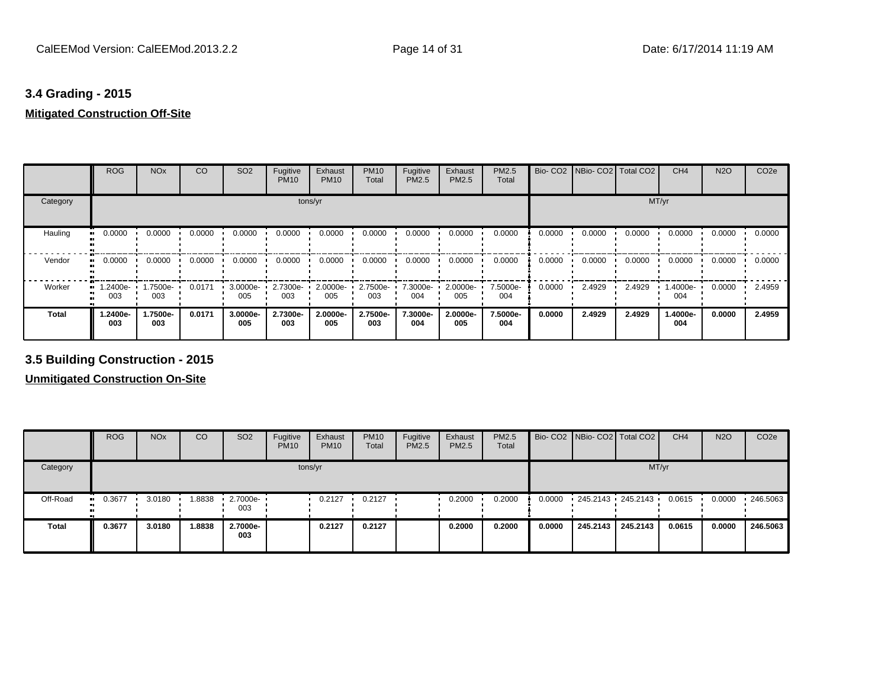# **3.4 Grading - 2015**

## **Mitigated Construction Off-Site**

|          | <b>ROG</b>      | <b>NO<sub>x</sub></b> | CO     | SO <sub>2</sub> | Fugitive<br><b>PM10</b> | Exhaust<br><b>PM10</b> | <b>PM10</b><br>Total | Fugitive<br><b>PM2.5</b> | Exhaust<br>PM2.5 | <b>PM2.5</b><br>Total |        | Bio- CO2   NBio- CO2   Total CO2 |        | CH <sub>4</sub> | <b>N2O</b> | CO <sub>2e</sub> |
|----------|-----------------|-----------------------|--------|-----------------|-------------------------|------------------------|----------------------|--------------------------|------------------|-----------------------|--------|----------------------------------|--------|-----------------|------------|------------------|
| Category |                 |                       |        |                 |                         | tons/yr                |                      |                          |                  |                       |        |                                  |        | MT/yr           |            |                  |
| Hauling  | 0.0000          | 0.0000                | 0.0000 | 0.0000          | 0.0000                  | 0.0000                 | 0.0000               | 0.0000                   | 0.0000           | 0.0000                | 0.0000 | 0.0000                           | 0.0000 | 0.0000          | 0.0000     | 0.0000           |
| Vendor   | 0.0000          | 0.0000                | 0.0000 | 0.0000          | 0.0000                  | 0.0000                 | 0.0000               | 0.0000                   | 0.0000           | 0.0000                | 0.0000 | 0.0000                           | 0.0000 | 0.0000          | 0.0000     | 0.0000           |
| Worker   | 1.2400e-<br>003 | 1.7500e-<br>003       | 0.0171 | 3.0000e-<br>005 | 2.7300e-<br>003         | 2.0000e-<br>005        | 2.7500e-<br>003      | 7.3000e-<br>004          | 2.0000e-<br>005  | 7.5000e-<br>004       | 0.0000 | 2.4929                           | 2.4929 | 1.4000e-<br>004 | 0.0000     | 2.4959           |
| Total    | -2400e-<br>003  | 1.7500e-<br>003       | 0.0171 | 3.0000e-<br>005 | 2.7300e-<br>003         | 2.0000e-<br>005        | 2.7500e-<br>003      | 7.3000e-<br>004          | 2.0000e-<br>005  | 7.5000e-<br>004       | 0.0000 | 2.4929                           | 2.4929 | 1.4000e-<br>004 | 0.0000     | 2.4959           |

## **3.5 Building Construction - 2015**

|              | <b>ROG</b> | <b>NO<sub>x</sub></b> | CO     | SO <sub>2</sub> | Fugitive<br><b>PM10</b> | Exhaust<br><b>PM10</b> | <b>PM10</b><br>Total | Fugitive<br>PM2.5 | Exhaust<br><b>PM2.5</b> | <b>PM2.5</b><br>Total |        | Bio- CO2   NBio- CO2   Total CO2 |          | CH <sub>4</sub> | <b>N2O</b> | CO <sub>2</sub> e |
|--------------|------------|-----------------------|--------|-----------------|-------------------------|------------------------|----------------------|-------------------|-------------------------|-----------------------|--------|----------------------------------|----------|-----------------|------------|-------------------|
| Category     |            |                       |        |                 | tons/yr                 |                        |                      |                   |                         |                       |        |                                  | MT/yr    |                 |            |                   |
| Off-Road     | $-0.3677$  | 3.0180                | .8838  | 2.7000e-<br>003 |                         | 0.2127                 | 0.2127               |                   | 0.2000                  | 0.2000                | 0.0000 | 245.2143 245.2143 '              |          | 0.0615          | 0.0000     | .246.5063         |
| <b>Total</b> | 0.3677     | 3.0180                | 1.8838 | 2.7000e-<br>003 |                         | 0.2127                 | 0.2127               |                   | 0.2000                  | 0.2000                | 0.0000 | 245.2143                         | 245.2143 | 0.0615          | 0.0000     | 246.5063          |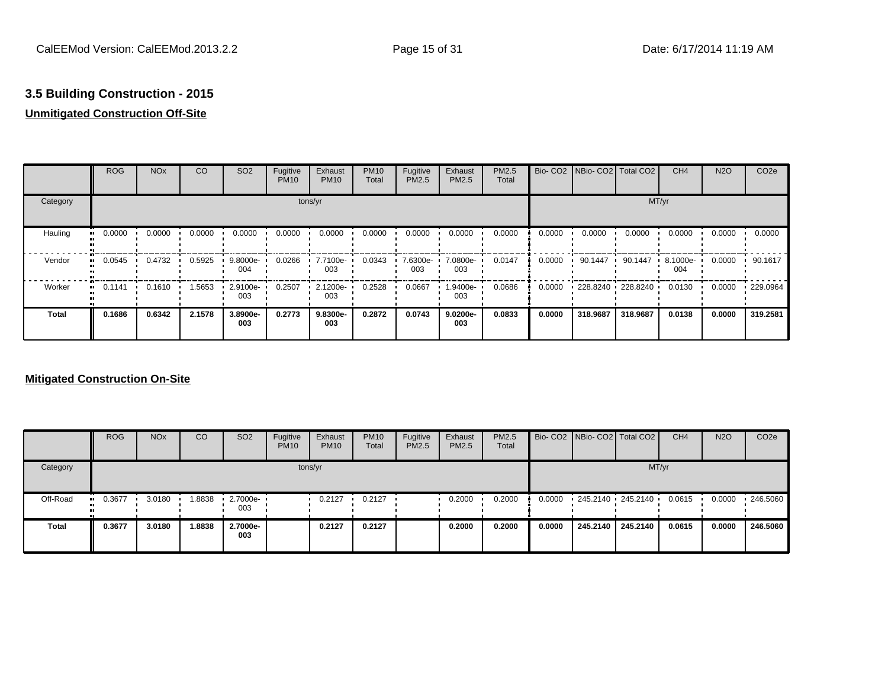## **Unmitigated Construction Off-Site**

|              | <b>ROG</b> | <b>NO<sub>x</sub></b> | CO     | SO <sub>2</sub> | Fugitive<br><b>PM10</b> | Exhaust<br><b>PM10</b> | <b>PM10</b><br>Total | Fugitive<br><b>PM2.5</b> | Exhaust<br><b>PM2.5</b> | PM2.5<br>Total | Bio-CO <sub>2</sub> | NBio- CO2   Total CO2 |                   | CH <sub>4</sub> | <b>N2O</b> | CO <sub>2e</sub> |
|--------------|------------|-----------------------|--------|-----------------|-------------------------|------------------------|----------------------|--------------------------|-------------------------|----------------|---------------------|-----------------------|-------------------|-----------------|------------|------------------|
| Category     |            |                       |        |                 | tons/yr                 |                        |                      |                          |                         |                |                     |                       | MT/yr             |                 |            |                  |
| Hauling      | 0.0000     | 0.0000                | 0.0000 | 0.0000          | 0.0000                  | 0.0000                 | 0.0000               | 0.0000                   | 0.0000                  | 0.0000         | 0.0000              | 0.0000                | 0.0000            | 0.0000          | 0.0000     | 0.0000           |
| Vendor       | 0.0545     | 0.4732                | 0.5925 | 9.8000e-<br>004 | 0.0266                  | 7.7100e-<br>003        | 0.0343               | 7.6300e-<br>003          | 7.0800e-<br>003         | 0.0147         | 0.0000              | 90.1447               | 90.1447           | 8.1000e-<br>004 | 0.0000     | 90.1617          |
| Worker       | 0.1141     | 0.1610                | .5653  | 2.9100e-<br>003 | 0.2507                  | 2.1200e-<br>003        | 0.2528               | 0.0667                   | -9400e-<br>003          | 0.0686         | 0.0000              |                       | 228.8240 228.8240 | 0.0130          | 0.0000     | $\cdot$ 229.0964 |
| <b>Total</b> | 0.1686     | 0.6342                | 2.1578 | 3.8900e-<br>003 | 0.2773                  | 9.8300e-<br>003        | 0.2872               | 0.0743                   | 9.0200e-<br>003         | 0.0833         | 0.0000              | 318.9687              | 318.9687          | 0.0138          | 0.0000     | 319.2581         |

|              | <b>ROG</b>          | <b>NO<sub>x</sub></b> | CO     | SO <sub>2</sub> | Fugitive<br><b>PM10</b> | Exhaust<br><b>PM10</b> | <b>PM10</b><br>Total | Fugitive<br><b>PM2.5</b> | Exhaust<br>PM2.5 | <b>PM2.5</b><br>Total |        | Bio- CO2 NBio- CO2 Total CO2 |                   | CH <sub>4</sub> | <b>N2O</b> | CO <sub>2</sub> e |
|--------------|---------------------|-----------------------|--------|-----------------|-------------------------|------------------------|----------------------|--------------------------|------------------|-----------------------|--------|------------------------------|-------------------|-----------------|------------|-------------------|
| Category     |                     |                       |        |                 |                         | tons/yr                |                      |                          |                  |                       |        |                              | MT/yr             |                 |            |                   |
| Off-Road     | 0.3677<br>$\bullet$ | 3.0180                | 1.8838 | 2.7000e-<br>003 |                         | 0.2127                 | 0.2127               |                          | 0.2000           | 0.2000                | 0.0000 |                              | 245.2140 245.2140 | 0.0615          | 0.0000     | 246.5060          |
| <b>Total</b> | 0.3677              | 3.0180                | 1.8838 | 2.7000e-<br>003 |                         | 0.2127                 | 0.2127               |                          | 0.2000           | 0.2000                | 0.0000 | 245.2140                     | 245.2140          | 0.0615          | 0.0000     | 246.5060          |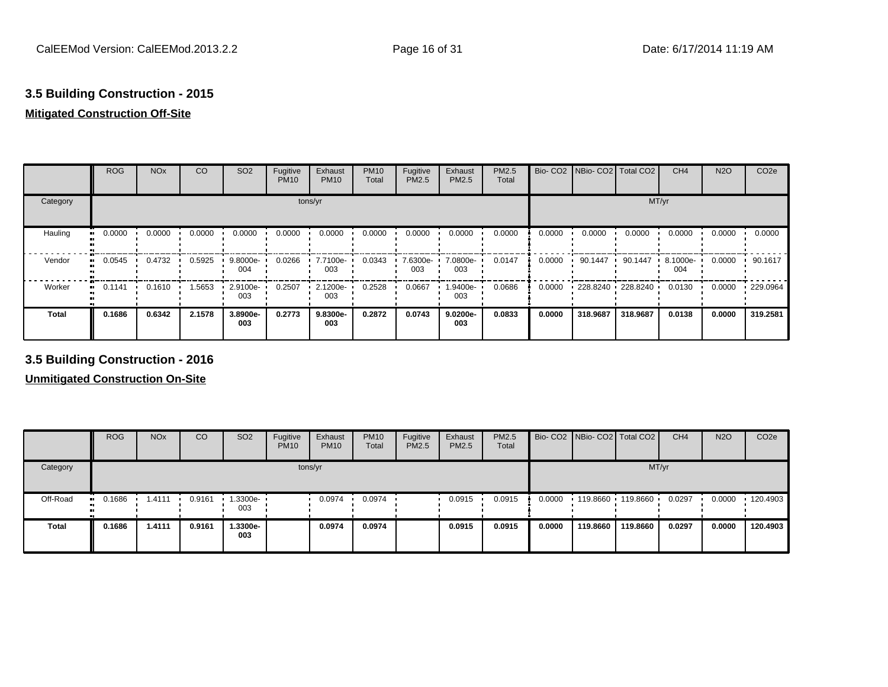## **Mitigated Construction Off-Site**

|              | <b>ROG</b> | <b>NO<sub>x</sub></b> | CO     | SO <sub>2</sub> | Fugitive<br><b>PM10</b> | Exhaust<br><b>PM10</b> | <b>PM10</b><br>Total | Fugitive<br><b>PM2.5</b> | Exhaust<br>PM2.5 | PM2.5<br>Total | Bio-CO <sub>2</sub> | NBio- CO2   Total CO2 |                   | CH <sub>4</sub> | <b>N2O</b> | CO <sub>2e</sub> |
|--------------|------------|-----------------------|--------|-----------------|-------------------------|------------------------|----------------------|--------------------------|------------------|----------------|---------------------|-----------------------|-------------------|-----------------|------------|------------------|
| Category     |            |                       |        |                 | tons/yr                 |                        |                      |                          |                  |                |                     |                       | MT/yr             |                 |            |                  |
| Hauling      | 0.0000     | 0.0000                | 0.0000 | 0.0000          | 0.0000                  | 0.0000                 | 0.0000               | 0.0000                   | 0.0000           | 0.0000         | 0.0000              | 0.0000                | 0.0000            | 0.0000          | 0.0000     | 0.0000           |
| Vendor<br>   | 0.0545     | 0.4732                | 0.5925 | 9.8000e-<br>004 | 0.0266                  | 7.7100e-<br>003        | 0.0343               | 7.6300e-<br>003          | 7.0800e-<br>003  | 0.0147         | 0.0000              | 90.1447               | 90.1447           | 8.1000e-<br>004 | 0.0000     | 90.1617          |
| Worker<br>   | 0.1141     | 0.1610                | 1.5653 | 2.9100e-<br>003 | 0.2507                  | 2.1200e-<br>003        | 0.2528               | 0.0667                   | 1.9400e-<br>003  | 0.0686         | 0.0000              |                       | 228.8240 228.8240 | 0.0130          | 0.0000     | 229.0964         |
| <b>Total</b> | 0.1686     | 0.6342                | 2.1578 | 3.8900e-<br>003 | 0.2773                  | 9.8300e-<br>003        | 0.2872               | 0.0743                   | 9.0200e-<br>003  | 0.0833         | 0.0000              | 318.9687              | 318.9687          | 0.0138          | 0.0000     | 319.2581         |

## **3.5 Building Construction - 2016**

|              | <b>ROG</b>            | <b>NO<sub>x</sub></b> | CO     | SO <sub>2</sub> | Fugitive<br><b>PM10</b> | Exhaust<br><b>PM10</b> | <b>PM10</b><br>Total | Fugitive<br><b>PM2.5</b> | Exhaust<br>PM2.5 | <b>PM2.5</b><br>Total |        | Bio- CO2 NBio- CO2 Total CO2 |          | CH <sub>4</sub> | <b>N2O</b> | CO <sub>2e</sub> |
|--------------|-----------------------|-----------------------|--------|-----------------|-------------------------|------------------------|----------------------|--------------------------|------------------|-----------------------|--------|------------------------------|----------|-----------------|------------|------------------|
| Category     |                       |                       |        |                 |                         | tons/yr                |                      |                          |                  |                       |        |                              | MT/yr    |                 |            |                  |
| Off-Road     | $\blacksquare$ 0.1686 | 1.4111                | 0.9161 | 1.3300e-<br>003 |                         | 0.0974                 | 0.0974               |                          | 0.0915           | 0.0915                | 0.0000 | $119.8660$ 119.8660 ·        |          | 0.0297          | 0.0000     | 120.4903         |
| <b>Total</b> | 0.1686                | 1.4111                | 0.9161 | 1.3300e-<br>003 |                         | 0.0974                 | 0.0974               |                          | 0.0915           | 0.0915                | 0.0000 | 119,8660                     | 119.8660 | 0.0297          | 0.0000     | 120.4903         |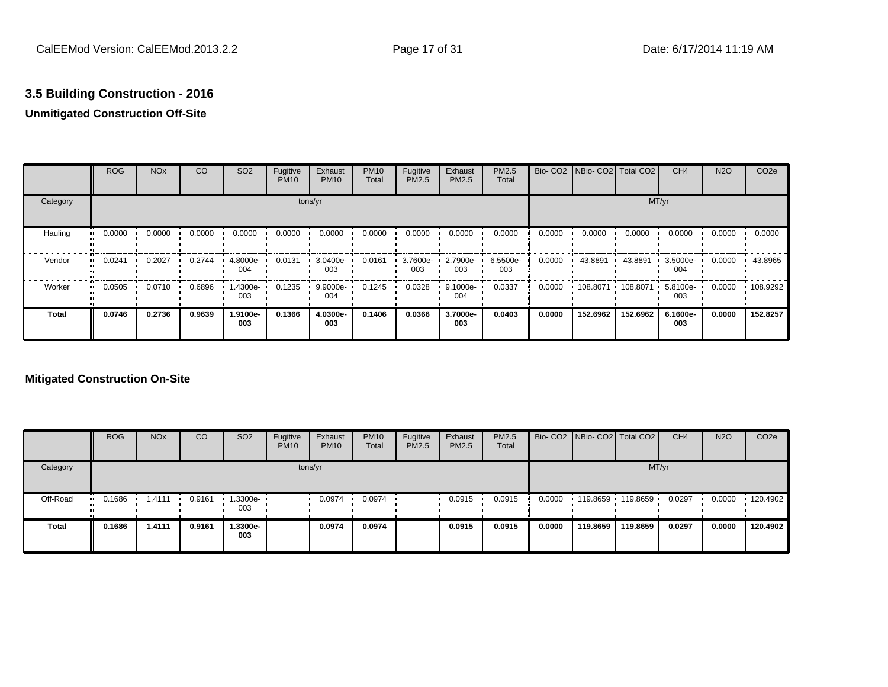## **Unmitigated Construction Off-Site**

|                      | <b>ROG</b> | <b>NO<sub>x</sub></b> | CO     | SO <sub>2</sub> | Fugitive<br><b>PM10</b> | Exhaust<br><b>PM10</b> | <b>PM10</b><br>Total | Fugitive<br><b>PM2.5</b> | Exhaust<br>PM2.5 | <b>PM2.5</b><br>Total |        | Bio- CO2   NBio- CO2   Total CO2 |          | CH <sub>4</sub>    | <b>N2O</b> | CO <sub>2e</sub> |
|----------------------|------------|-----------------------|--------|-----------------|-------------------------|------------------------|----------------------|--------------------------|------------------|-----------------------|--------|----------------------------------|----------|--------------------|------------|------------------|
| Category             |            |                       |        |                 | tons/yr                 |                        |                      |                          |                  |                       |        |                                  | MT/yr    |                    |            |                  |
| Hauling<br>$\bullet$ | 0.0000     | 0.0000                | 0.0000 | 0.0000          | 0.0000                  | 0.0000                 | 0.0000               | 0.0000                   | 0.0000           | 0.0000                | 0.0000 | 0.0000                           | 0.0000   | 0.0000             | 0.0000     | 0.0000           |
| Vendor               | 0.0241     | 0.2027                | 0.2744 | 4.8000e-<br>004 | 0.0131                  | 3.0400e-<br>003        | 0.0161               | 3.7600e-<br>003          | 2.7900e-<br>003  | 6.5500e-<br>003       | 0.0000 | 43.8891                          | 43.8891  | 3.5000e-<br>004    | 0.0000     | 43.8965          |
| Worker               | 0.0505     | 0.0710                | 0.6896 | 1.4300e-<br>003 | 0.1235                  | 9.9000e-<br>004        | 0.1245               | 0.0328                   | 9.1000e-<br>004  | 0.0337                | 0.0000 | 108.8071                         | 108.8071 | $5.8100e -$<br>003 | 0.0000     | 108.9292         |
| <b>Total</b>         | 0.0746     | 0.2736                | 0.9639 | 1.9100e-<br>003 | 0.1366                  | 4.0300e-<br>003        | 0.1406               | 0.0366                   | 3.7000e-<br>003  | 0.0403                | 0.0000 | 152.6962                         | 152.6962 | 6.1600e-<br>003    | 0.0000     | 152.8257         |

|              | <b>ROG</b>            | <b>NO<sub>x</sub></b> | CO     | SO <sub>2</sub> | Fugitive<br><b>PM10</b> | Exhaust<br><b>PM10</b> | <b>PM10</b><br>Total | Fugitive<br><b>PM2.5</b> | Exhaust<br>PM2.5 | <b>PM2.5</b><br>Total |        | Bio- CO2 NBio- CO2 Total CO2 |                   | CH <sub>4</sub> | <b>N2O</b> | CO <sub>2</sub> e |
|--------------|-----------------------|-----------------------|--------|-----------------|-------------------------|------------------------|----------------------|--------------------------|------------------|-----------------------|--------|------------------------------|-------------------|-----------------|------------|-------------------|
| Category     |                       |                       |        |                 |                         | tons/yr                |                      |                          |                  |                       |        |                              | MT/yr             |                 |            |                   |
| Off-Road     | $\blacksquare$ 0.1686 | 1.4111                | 0.9161 | 1.3300e-<br>003 |                         | 0.0974                 | 0.0974               |                          | 0.0915           | 0.0915                | 0.0000 |                              | 119.8659 119.8659 | 0.0297          | 0.0000     | $\cdot$ 120.4902  |
| <b>Total</b> | 0.1686                | 1.4111                | 0.9161 | i.3300e-<br>003 |                         | 0.0974                 | 0.0974               |                          | 0.0915           | 0.0915                | 0.0000 | 119,8659                     | 119.8659          | 0.0297          | 0.0000     | 120.4902          |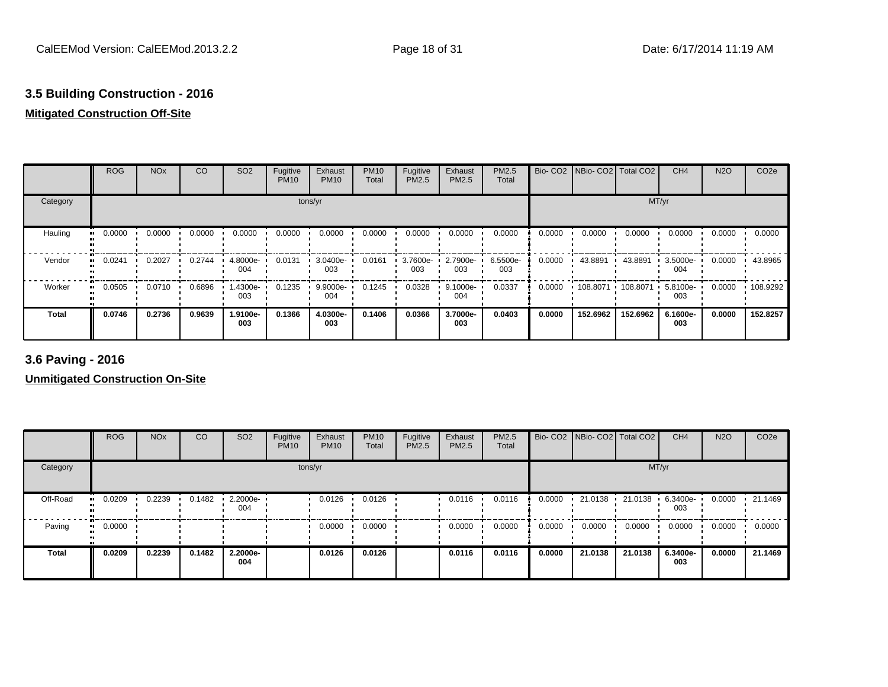## **Mitigated Construction Off-Site**

|                          | <b>ROG</b> | <b>NO<sub>x</sub></b> | CO     | SO <sub>2</sub> | Fugitive<br><b>PM10</b> | Exhaust<br><b>PM10</b> | <b>PM10</b><br>Total | Fugitive<br><b>PM2.5</b> | Exhaust<br>PM2.5 | PM2.5<br>Total  | Bio-CO <sub>2</sub> | NBio-CO2   Total CO2 |          | CH <sub>4</sub> | <b>N2O</b> | CO <sub>2e</sub> |
|--------------------------|------------|-----------------------|--------|-----------------|-------------------------|------------------------|----------------------|--------------------------|------------------|-----------------|---------------------|----------------------|----------|-----------------|------------|------------------|
| Category                 |            |                       |        |                 | tons/yr                 |                        |                      |                          |                  |                 |                     |                      | MT/yr    |                 |            |                  |
| Hauling                  | 0.0000     | 0.0000                | 0.0000 | 0.0000          | 0.0000                  | 0.0000                 | 0.0000               | 0.0000                   | 0.0000           | 0.0000          | 0.0000              | 0.0000               | 0.0000   | 0.0000          | 0.0000     | 0.0000           |
| Vendor<br>$\blacksquare$ | 0.0241     | 0.2027                | 0.2744 | 4.8000e-<br>004 | 0.0131                  | 3.0400e-<br>003        | 0.0161               | 3.7600e-<br>003          | 2.7900e-<br>003  | 6.5500e-<br>003 | 0.0000              | 43.8891              | 43.8891  | 3.5000e-<br>004 | 0.0000     | 43.8965          |
| Worker                   | 0.0505     | 0.0710                | 0.6896 | 1.4300e-<br>003 | 0.1235                  | 9.9000e-<br>004        | 0.1245               | 0.0328                   | 9.1000e-<br>004  | 0.0337          | 0.0000              | 108.8071             | 108.8071 | 5.8100e-<br>003 | 0.0000     | 108.9292         |
| <b>Total</b>             | 0.0746     | 0.2736                | 0.9639 | 1.9100e-<br>003 | 0.1366                  | 4.0300e-<br>003        | 0.1406               | 0.0366                   | 3.7000e-<br>003  | 0.0403          | 0.0000              | 152.6962             | 152.6962 | 6.1600e-<br>003 | 0.0000     | 152.8257         |

**3.6 Paving - 2016**

|              | <b>ROG</b>   | <b>NO<sub>x</sub></b> | CO     | SO <sub>2</sub> | Fugitive<br><b>PM10</b> | Exhaust<br><b>PM10</b> | <b>PM10</b><br>Total | Fugitive<br>PM2.5 | Exhaust<br><b>PM2.5</b> | PM2.5<br>Total |        | Bio- CO2   NBio- CO2   Total CO2 |         | CH <sub>4</sub> | <b>N2O</b> | CO <sub>2e</sub> |
|--------------|--------------|-----------------------|--------|-----------------|-------------------------|------------------------|----------------------|-------------------|-------------------------|----------------|--------|----------------------------------|---------|-----------------|------------|------------------|
| Category     |              |                       |        |                 |                         | tons/yr                |                      |                   |                         |                |        |                                  |         | MT/yr           |            |                  |
| Off-Road     | 0.0209       | 0.2239                | 0.1482 | 2.2000e-<br>004 |                         | 0.0126                 | 0.0126               |                   | 0.0116                  | 0.0116         | 0.0000 | 21.0138                          | 21.0138 | 6.3400e-<br>003 | 0.0000     | 21.1469          |
| Paving       | 0.0000<br>ш. |                       |        |                 |                         | 0.0000                 | 0.0000               |                   | 0.0000                  | 0.0000         | 0.0000 | 0.0000                           | 0.0000  | 0.0000          | 0.0000     | 0.0000           |
| <b>Total</b> | 0.0209       | 0.2239                | 0.1482 | 2.2000e-<br>004 |                         | 0.0126                 | 0.0126               |                   | 0.0116                  | 0.0116         | 0.0000 | 21.0138                          | 21.0138 | 6.3400e-<br>003 | 0.0000     | 21.1469          |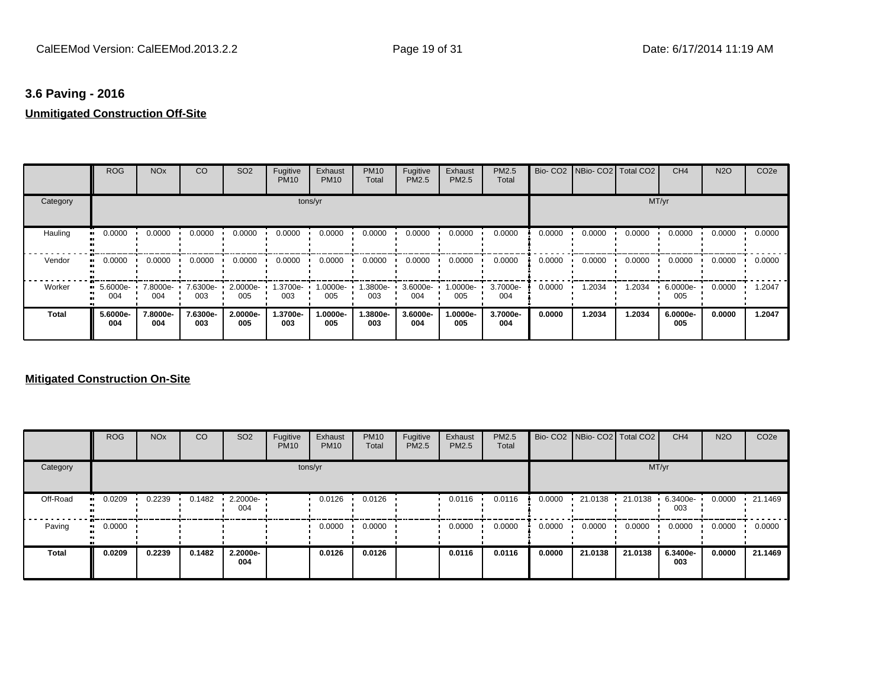## **3.6 Paving - 2016 Unmitigated Construction Off-Site**

|          | <b>ROG</b>      | <b>NO<sub>x</sub></b> | CO              | SO <sub>2</sub> | Fugitive<br><b>PM10</b> | Exhaust<br><b>PM10</b> | <b>PM10</b><br>Total | Fugitive<br><b>PM2.5</b> | Exhaust<br>PM2.5 | <b>PM2.5</b><br>Total |        | Bio- CO2   NBio- CO2   Total CO2 |        | CH <sub>4</sub> | <b>N2O</b> | CO <sub>2e</sub> |
|----------|-----------------|-----------------------|-----------------|-----------------|-------------------------|------------------------|----------------------|--------------------------|------------------|-----------------------|--------|----------------------------------|--------|-----------------|------------|------------------|
| Category |                 |                       |                 |                 |                         | tons/yr                |                      |                          |                  |                       |        |                                  | MT/yr  |                 |            |                  |
| Hauling  | 0.0000          | 0.0000                | 0.0000          | 0.0000          | 0.0000                  | 0.0000                 | 0.0000               | 0.0000                   | 0.0000           | 0.0000                | 0.0000 | 0.0000                           | 0.0000 | 0.0000          | 0.0000     | 0.0000           |
| Vendor   | 0.0000          | 0.0000                | 0.0000          | 0.0000          | 0.0000                  | 0.0000                 | 0.0000               | 0.0000                   | 0.0000           | 0.0000                | 0.0000 | 0.0000                           | 0.0000 | 0.0000          | 0.0000     | 0.0000           |
| Worker   | 5.6000e-<br>004 | 7.8000e-<br>004       | 7.6300e-<br>003 | 2.0000e-<br>005 | 1.3700e-<br>003         | 1.0000e-<br>005        | 1.3800e-<br>003      | 3.6000e-<br>004          | 1.0000e-<br>005  | 3.7000e-<br>004       | 0.0000 | 1.2034                           | 1.2034 | 6.0000e-<br>005 | 0.0000     | 1.2047           |
| Total    | 5.6000e-<br>004 | 7.8000e-<br>004       | 7.6300e-<br>003 | 2.0000e-<br>005 | 1.3700e-<br>003         | 1.0000e-<br>005        | 1.3800e-<br>003      | 3.6000e-<br>004          | 1.0000e-<br>005  | 3.7000e-<br>004       | 0.0000 | 1.2034                           | 1.2034 | 6.0000e-<br>005 | 0.0000     | 1.2047           |

|                            | <b>ROG</b> | <b>NO<sub>x</sub></b> | CO     | SO <sub>2</sub>         | Fugitive<br><b>PM10</b> | Exhaust<br><b>PM10</b> | <b>PM10</b><br>Total | Fugitive<br><b>PM2.5</b> | Exhaust<br><b>PM2.5</b> | <b>PM2.5</b><br>Total |        | Bio- CO2   NBio- CO2   Total CO2 |         | CH <sub>4</sub> | <b>N2O</b> | CO <sub>2e</sub> |
|----------------------------|------------|-----------------------|--------|-------------------------|-------------------------|------------------------|----------------------|--------------------------|-------------------------|-----------------------|--------|----------------------------------|---------|-----------------|------------|------------------|
| Category                   |            |                       |        |                         |                         | tons/yr                |                      |                          |                         |                       |        |                                  | MT/yr   |                 |            |                  |
| Off-Road                   | 0.0209     | 0.2239                | 0.1482 | $\cdot$ 2.2000e-<br>004 |                         | 0.0126                 | 0.0126               |                          | 0.0116                  | 0.0116                | 0.0000 | 21.0138                          | 21.0138 | 6.3400e-<br>003 | 0.0000     | 21.1469          |
| Paving<br>$\bullet\bullet$ | 0.0000     |                       |        |                         |                         | 0.0000                 | 0.0000               |                          | 0.0000                  | 0.0000                | 0.0000 | 0.0000                           | 0.0000  | 0.0000          | 0.0000     | 0.0000           |
| <b>Total</b>               | 0.0209     | 0.2239                | 0.1482 | 2.2000e-<br>004         |                         | 0.0126                 | 0.0126               |                          | 0.0116                  | 0.0116                | 0.0000 | 21.0138                          | 21.0138 | 6.3400e-<br>003 | 0.0000     | 21.1469          |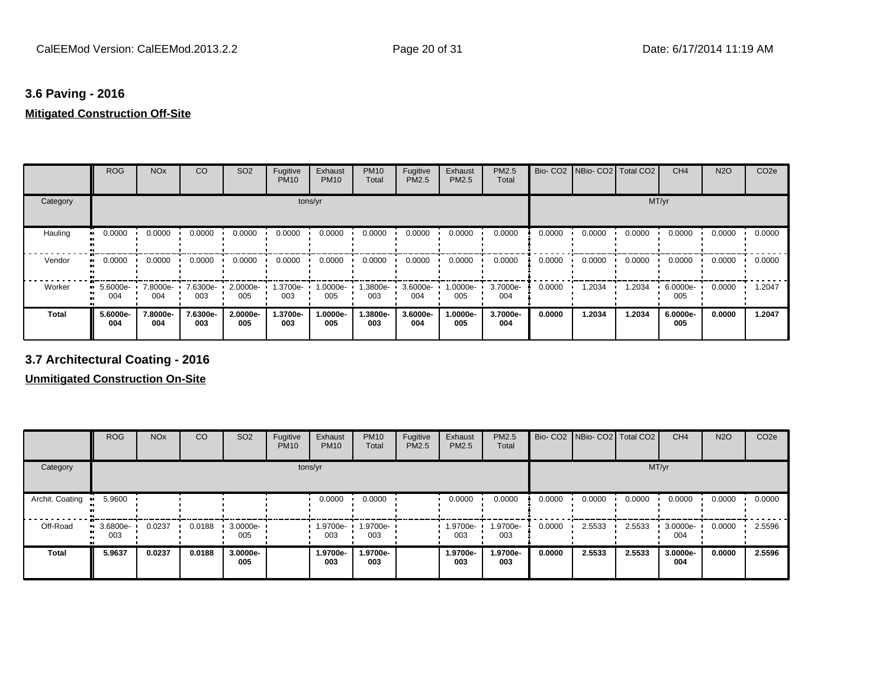## **3.6 Paving - 2016 Mitigated Construction Off-Site**

|          | <b>ROG</b>      | <b>NO<sub>x</sub></b> | CO              | SO <sub>2</sub>    | Fugitive<br><b>PM10</b> | Exhaust<br><b>PM10</b> | <b>PM10</b><br>Total | Fugitive<br><b>PM2.5</b> | Exhaust<br>PM2.5 | <b>PM2.5</b><br>Total |        | Bio- CO2   NBio- CO2   Total CO2 |        | CH <sub>4</sub> | <b>N2O</b> | CO <sub>2e</sub> |
|----------|-----------------|-----------------------|-----------------|--------------------|-------------------------|------------------------|----------------------|--------------------------|------------------|-----------------------|--------|----------------------------------|--------|-----------------|------------|------------------|
| Category |                 |                       |                 |                    |                         | tons/yr                |                      |                          |                  |                       |        |                                  |        | MT/yr           |            |                  |
| Hauling  | 0.0000          | 0.0000                | 0.0000          | 0.0000             | 0.0000                  | 0.0000                 | 0.0000               | 0.0000                   | 0.0000           | 0.0000                | 0.0000 | 0.0000                           | 0.0000 | 0.0000          | 0.0000     | 0.0000           |
| Vendor   | 0.0000          | 0.0000                | 0.0000          | 0.0000             | 0.0000                  | 0.0000                 | 0.0000               | 0.0000                   | 0.0000           | 0.0000                | 0.0000 | 0.0000                           | 0.0000 | 0.0000          | 0.0000     | 0.0000           |
| Worker   | 5.6000e-<br>004 | 7.8000e-<br>004       | 7.6300e-<br>003 | $2.0000e -$<br>005 | 1.3700e- L<br>003       | 1.0000e-<br>005        | 1.3800e- •<br>003    | 3.6000e-<br>004          | 1.0000e-<br>005  | 3.7000e-<br>004       | 0.0000 | 1.2034                           | 1.2034 | 6.0000e-<br>005 | 0.0000     | 1.2047           |
| Total    | 5.6000e-<br>004 | 7.8000e-<br>004       | 7.6300e-<br>003 | 2.0000e-<br>005    | 1.3700e-<br>003         | 1.0000e-<br>005        | 1.3800e-<br>003      | 3.6000e-<br>004          | 1.0000e-<br>005  | 3.7000e-<br>004       | 0.0000 | 1.2034                           | 1.2034 | 6.0000e-<br>005 | 0.0000     | 1.2047           |

## **3.7 Architectural Coating - 2016**

|                 | <b>ROG</b>         | <b>NO<sub>x</sub></b> | CO     | SO <sub>2</sub> | Fugitive<br><b>PM10</b> | Exhaust<br><b>PM10</b> | <b>PM10</b><br>Total | Fugitive<br><b>PM2.5</b> | Exhaust<br>PM2.5 | <b>PM2.5</b><br>Total |        | Bio- CO2   NBio- CO2   Total CO2 |        | CH <sub>4</sub> | <b>N2O</b> | CO <sub>2e</sub> |
|-----------------|--------------------|-----------------------|--------|-----------------|-------------------------|------------------------|----------------------|--------------------------|------------------|-----------------------|--------|----------------------------------|--------|-----------------|------------|------------------|
| Category        |                    |                       |        |                 | tons/yr                 |                        |                      |                          |                  |                       |        |                                  | MT/yr  |                 |            |                  |
| Archit. Coating | 5.9600             |                       |        |                 |                         | 0.0000                 | 0.0000               |                          | 0.0000           | 0.0000                | 0.0000 | 0.0000                           | 0.0000 | 0.0000          | 0.0000     | 0.0000           |
| Off-Road        | $-3.6800e-$<br>003 | 0.0237                | 0.0188 | 3.0000e-<br>005 |                         | 1.9700e-<br>003        | 1.9700e-<br>003      |                          | 1.9700e-<br>003  | 1.9700e-<br>003       | 0.0000 | 2.5533                           | 2.5533 | 3.0000e-<br>004 | 0.0000     | 2.5596           |
| <b>Total</b>    | 5.9637             | 0.0237                | 0.0188 | 3.0000e-<br>005 |                         | 1.9700e-<br>003        | 1.9700e-<br>003      |                          | 1.9700e-<br>003  | 1.9700e-<br>003       | 0.0000 | 2.5533                           | 2.5533 | 3.0000e-<br>004 | 0.0000     | 2.5596           |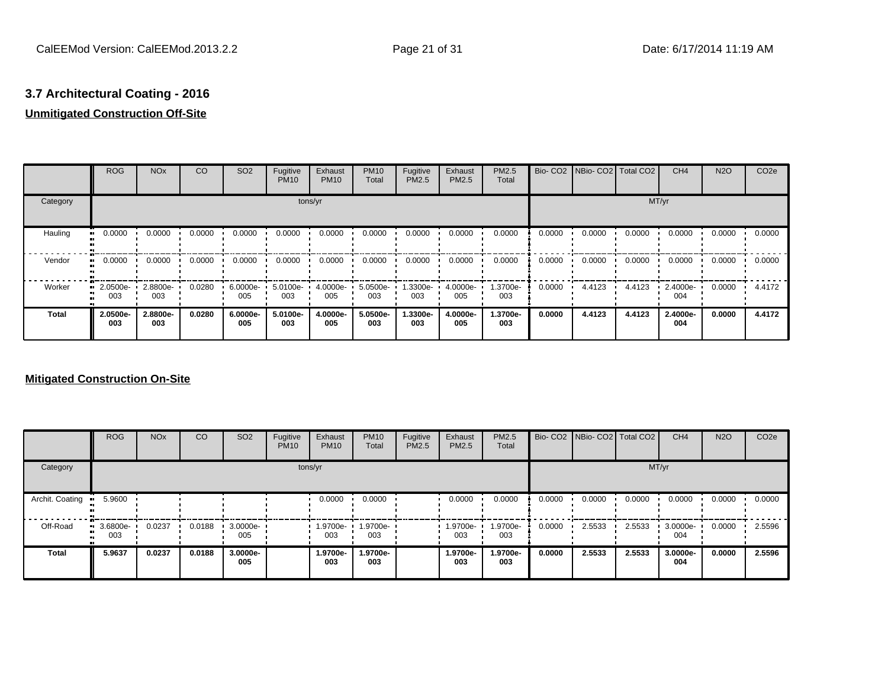# **3.7 Architectural Coating - 2016**

## **Unmitigated Construction Off-Site**

|              | <b>ROG</b>          | <b>NO<sub>x</sub></b> | CO     | SO <sub>2</sub>    | Fugitive<br><b>PM10</b> | Exhaust<br><b>PM10</b> | <b>PM10</b><br>Total | Fugitive<br><b>PM2.5</b> | Exhaust<br>PM2.5 | <b>PM2.5</b><br>Total |        | Bio- CO2   NBio- CO2   Total CO2 |        | CH <sub>4</sub> | <b>N2O</b> | CO <sub>2e</sub> |
|--------------|---------------------|-----------------------|--------|--------------------|-------------------------|------------------------|----------------------|--------------------------|------------------|-----------------------|--------|----------------------------------|--------|-----------------|------------|------------------|
| Category     |                     |                       |        |                    | tons/yr                 |                        |                      |                          |                  |                       |        |                                  | MT/yr  |                 |            |                  |
| Hauling      | 0.0000              | 0.0000                | 0.0000 | 0.0000             | 0.0000                  | 0.0000                 | 0.0000               | 0.0000                   | 0.0000           | 0.0000                | 0.0000 | 0.0000                           | 0.0000 | 0.0000          | 0.0000     | 0.0000           |
| Vendor       | 0.0000<br>. .       | 0.0000                | 0.0000 | 0.0000             | 0.0000                  | 0.0000                 | 0.0000               | 0.0000                   | 0.0000           | 0.0000                | 0.0000 | 0.0000                           | 0.0000 | 0.0000          | 0.0000     | 0.0000           |
| Worker       | 2.0500e-<br><br>003 | 2.8800e-<br>003       | 0.0280 | $6.0000e -$<br>005 | 5.0100e-<br>003         | 4.0000e-<br>005        | 5.0500e-<br>003      | 1.3300e-<br>003          | 4.0000e-<br>005  | 1.3700e-<br>003       | 0.0000 | 4.4123                           | 4.4123 | 2.4000e-<br>004 | 0.0000     | 4.4172           |
| <b>Total</b> | 2.0500e-<br>003     | 2.8800e-<br>003       | 0.0280 | 6.0000e-<br>005    | 5.0100e-<br>003         | 4.0000e-<br>005        | 5.0500e-<br>003      | 1.3300e-<br>003          | 4.0000e-<br>005  | 1.3700e-<br>003       | 0.0000 | 4.4123                           | 4.4123 | 2.4000e-<br>004 | 0.0000     | 4.4172           |

|                 | <b>ROG</b>      | <b>NO<sub>x</sub></b> | CO     | SO <sub>2</sub> | Fugitive<br><b>PM10</b> | Exhaust<br><b>PM10</b> | <b>PM10</b><br>Total | Fugitive<br><b>PM2.5</b> | Exhaust<br><b>PM2.5</b> | <b>PM2.5</b><br>Total |        | Bio- CO2   NBio- CO2   Total CO2 |        | CH <sub>4</sub> | <b>N2O</b> | CO <sub>2e</sub> |
|-----------------|-----------------|-----------------------|--------|-----------------|-------------------------|------------------------|----------------------|--------------------------|-------------------------|-----------------------|--------|----------------------------------|--------|-----------------|------------|------------------|
| Category        |                 |                       |        |                 | tons/yr                 |                        |                      |                          |                         |                       |        |                                  | MT/yr  |                 |            |                  |
| Archit. Coating | 5.9600          |                       |        |                 |                         | 0.0000                 | 0.0000               |                          | 0.0000                  | 0.0000                | 0.0000 | 0.0000                           | 0.0000 | 0.0000          | 0.0000     | 0.0000           |
| Off-Road        | 3.6800e-<br>003 | 0.0237                | 0.0188 | 3.0000e-<br>005 |                         | 1.9700e-<br>003        | 1.9700e-<br>003      |                          | 1.9700e-<br>003         | 1.9700e-<br>003       | 0.0000 | 2.5533                           | 2.5533 | 3.0000e-<br>004 | 0.0000     | 2.5596           |
| <b>Total</b>    | 5.9637          | 0.0237                | 0.0188 | 3.0000e-<br>005 |                         | 1.9700e-<br>003        | 1.9700e-<br>003      |                          | 1.9700e-<br>003         | 1.9700e-<br>003       | 0.0000 | 2.5533                           | 2.5533 | 3.0000e-<br>004 | 0.0000     | 2.5596           |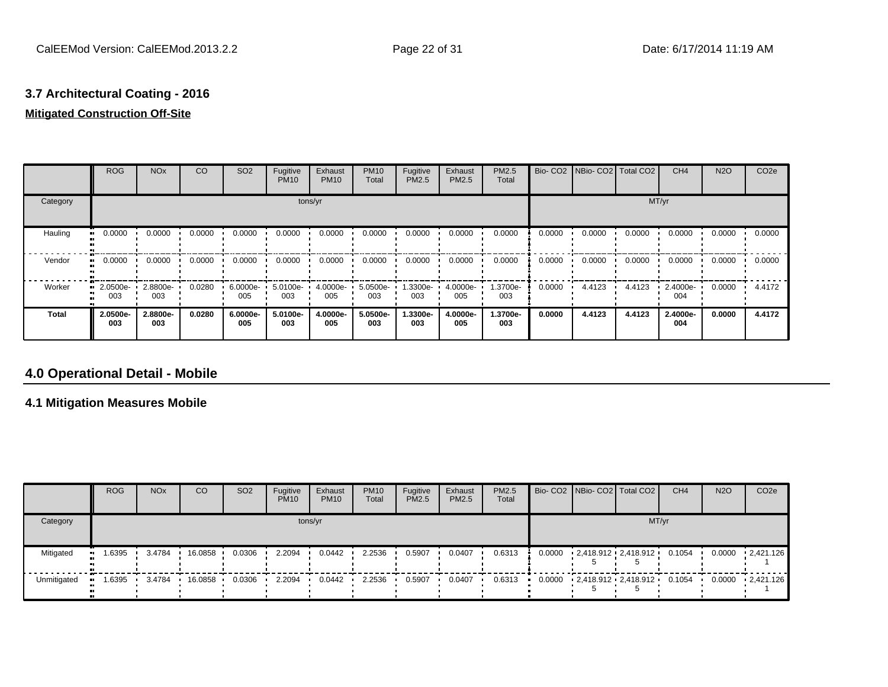# **3.7 Architectural Coating - 2016**

## **Mitigated Construction Off-Site**

|          | <b>ROG</b>      | <b>NO<sub>x</sub></b> | CO     | SO <sub>2</sub>    | Fugitive<br><b>PM10</b> | Exhaust<br><b>PM10</b> | <b>PM10</b><br>Total | Fugitive<br><b>PM2.5</b> | Exhaust<br>PM2.5 | <b>PM2.5</b><br>Total |        | Bio- CO2   NBio- CO2   Total CO2 |        | CH <sub>4</sub> | <b>N2O</b> | CO <sub>2e</sub> |
|----------|-----------------|-----------------------|--------|--------------------|-------------------------|------------------------|----------------------|--------------------------|------------------|-----------------------|--------|----------------------------------|--------|-----------------|------------|------------------|
| Category |                 |                       |        |                    |                         | tons/yr                |                      |                          |                  |                       |        |                                  |        | MT/yr           |            |                  |
| Hauling  | 0.0000          | 0.0000                | 0.0000 | 0.0000             | 0.0000                  | 0.0000                 | 0.0000               | 0.0000                   | 0.0000           | 0.0000                | 0.0000 | 0.0000                           | 0.0000 | 0.0000          | 0.0000     | 0.0000           |
| Vendor   | 0.0000          | 0.0000                | 0.0000 | 0.0000             | 0.0000                  | 0.0000                 | 0.0000               | 0.0000                   | 0.0000           | 0.0000                | 0.0000 | 0.0000                           | 0.0000 | 0.0000          | 0.0000     | 0.0000           |
| Worker   | 2.0500e-<br>003 | 2.8800e-<br>003       | 0.0280 | $6.0000e -$<br>005 | 5.0100e-<br>003         | 4.0000e-<br>005        | 5.0500e-<br>003      | 1.3300e-<br>003          | 4.0000e-<br>005  | 1.3700e-<br>003       | 0.0000 | 4.4123                           | 4.4123 | 2.4000e-<br>004 | 0.0000     | 4.4172           |
| Total    | 2.0500e-<br>003 | 2.8800e-<br>003       | 0.0280 | 6.0000e-<br>005    | 5.0100e-<br>003         | 4.0000e-<br>005        | 5.0500e-<br>003      | 1.3300e-<br>003          | 4.0000e-<br>005  | 1.3700e-<br>003       | 0.0000 | 4.4123                           | 4.4123 | 2.4000e-<br>004 | 0.0000     | 4.4172           |

## **4.0 Operational Detail - Mobile**

### **4.1 Mitigation Measures Mobile**

|             | <b>ROG</b> | <b>NO<sub>x</sub></b> | CO      | SO <sub>2</sub> | Fugitive<br><b>PM10</b> | Exhaust<br><b>PM10</b> | <b>PM10</b><br>Total | Fugitive<br><b>PM2.5</b> | Exhaust<br><b>PM2.5</b> | <b>PM2.5</b><br>Total |  | Bio- CO2 NBio- CO2   Total CO2      | CH <sub>4</sub> | <b>N2O</b> | CO <sub>2</sub> e    |
|-------------|------------|-----------------------|---------|-----------------|-------------------------|------------------------|----------------------|--------------------------|-------------------------|-----------------------|--|-------------------------------------|-----------------|------------|----------------------|
| Category    | tons/yr    |                       |         |                 |                         |                        |                      |                          |                         |                       |  | MT/yr                               |                 |            |                      |
| Mitigated   | 1.6395     | 3.4784                | 16.0858 | 0.0306          | 2.2094                  | 0.0442                 | 2.2536               | 0.5907                   | 0.0407                  | 0.6313                |  | $0.0000$ $2,418.912$ $2,418.912$    | 0.1054          | 0.0000     | $\cdot$ 2,421.126    |
| Unmitigated | .6395      | 3.4784                | 16.0858 | 0.0306          | 2.2094                  | 0.0442                 | 2.2536               | 0.5907                   | 0.0407                  | 0.6313                |  | $0.0000$ 2,418.912 2,418.912 0.1054 |                 |            | $0.0000 + 2,421.126$ |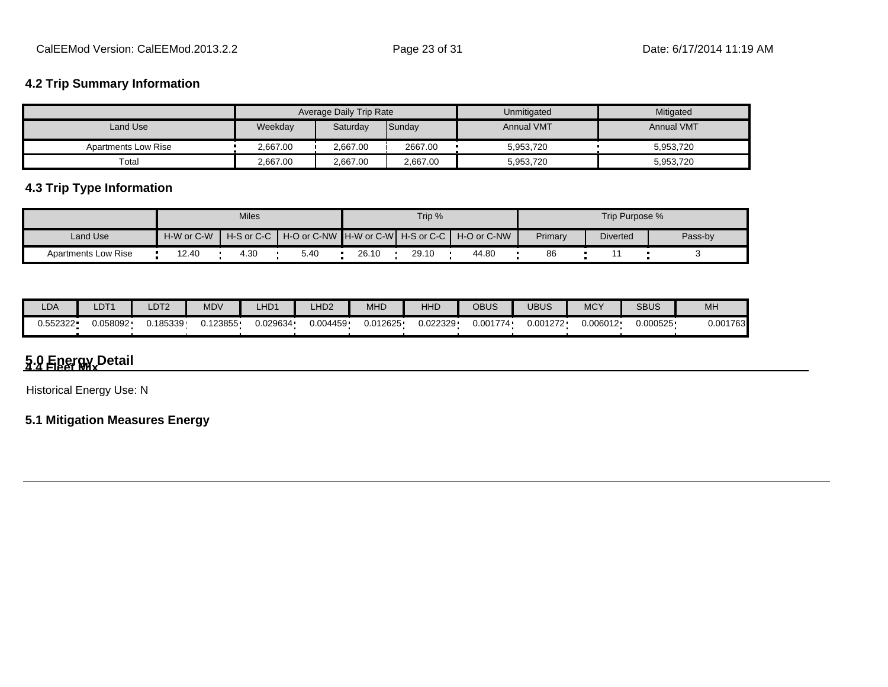## **4.2 Trip Summary Information**

|                            |          | Average Daily Trip Rate |          | Unmitigated       | Mitigated         |
|----------------------------|----------|-------------------------|----------|-------------------|-------------------|
| Land Use                   | Weekday  | Saturday                | Sunday   | <b>Annual VMT</b> | <b>Annual VMT</b> |
| <b>Apartments Low Rise</b> | 2.667.00 | 2.667.00                | 2667.00  | 5,953,720         | 5,953,720         |
| Total                      | 2.667.00 | 2,667.00                | 2,667.00 | 5,953,720         | 5,953,720         |

## **4.3 Trip Type Information**

|                            |            | <b>Miles</b> |                                                    |       | Trip % |             |         | Trip Purpose %  |         |
|----------------------------|------------|--------------|----------------------------------------------------|-------|--------|-------------|---------|-----------------|---------|
| Land Use                   | H-W or C-W |              | H-S or C-C I H-O or C-NW IH-W or C-WI H-S or C-C I |       |        | H-O or C-NW | Primary | <b>Diverted</b> | Pass-by |
| <b>Apartments Low Rise</b> | 12.40      | 4.30         | 5.40                                               | 26.10 | 29.10  | 44.80       | 86      |                 |         |

| LDA       | LDT1     | LDT2     | MDV      | LHD1     | LHD <sub>2</sub> | MHD      | HHD      | <b>OBUS</b> | <b>UBUS</b> | <b>MCY</b> | <b>SBUS</b> | <b>MH</b> |
|-----------|----------|----------|----------|----------|------------------|----------|----------|-------------|-------------|------------|-------------|-----------|
| ).552322• | J.058092 | 0.185339 | J.123855 | 0.029634 | 0.004459         | 0.012625 | 0.022329 | 0.001774    | 1.001272    | 0.006012   | י 000525.   | 0.001763  |

# **5.0 Energy Detail 4.4 Fleet Mix**

Historical Energy Use: N

## **5.1 Mitigation Measures Energy**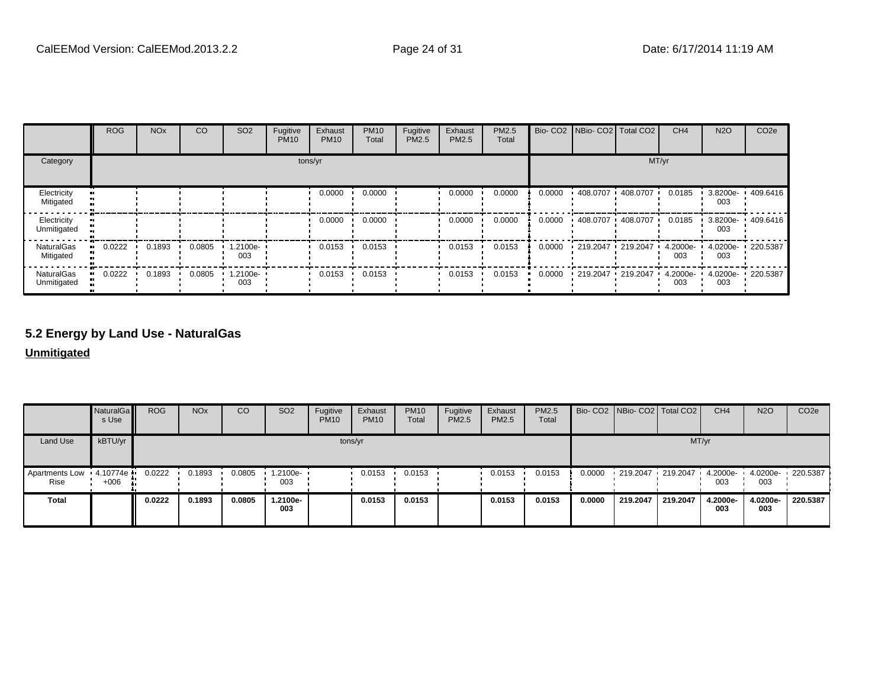|                                  | <b>ROG</b> | <b>NO<sub>x</sub></b> | CO     | SO <sub>2</sub> | Fugitive<br><b>PM10</b> | Exhaust<br><b>PM10</b> | <b>PM10</b><br>Total | Fugitive<br>PM2.5 | Exhaust<br>PM2.5 | PM2.5<br>Total |        | Bio- CO2   NBio- CO2   Total CO2 |                   | CH <sub>4</sub> | <b>N2O</b>      | CO <sub>2e</sub> |
|----------------------------------|------------|-----------------------|--------|-----------------|-------------------------|------------------------|----------------------|-------------------|------------------|----------------|--------|----------------------------------|-------------------|-----------------|-----------------|------------------|
| Category                         |            |                       |        |                 |                         | tons/yr                |                      |                   |                  |                |        |                                  |                   | MT/yr           |                 |                  |
| Electricity<br>Mitigated         |            |                       |        |                 |                         | 0.0000                 | 0.0000               |                   | 0.0000           | 0.0000         | 0.0000 | 408.0707                         | 408.0707          | 0.0185          | 3.8200e-<br>003 | .409.6416        |
| Electricity<br>Unmitigated       |            |                       |        |                 |                         | 0.0000                 | 0.0000               |                   | 0.0000           | 0.0000         | 0.0000 |                                  | 408.0707 408.0707 | 0.0185          | 3.8200e-<br>003 | 409.6416         |
| <b>NaturalGas</b><br>Mitigated   | 0.0222     | 0.1893                | 0.0805 | 1.2100e-<br>003 |                         | 0.0153                 | 0.0153               |                   | 0.0153           | 0.0153         | 0.0000 |                                  | 219.2047 219.2047 | 4.2000e-<br>003 | 4.0200e-<br>003 | 220.5387         |
| <b>NaturalGas</b><br>Unmitigated | 0.0222     | 0.1893                | 0.0805 | 1.2100e-<br>003 |                         | 0.0153                 | 0.0153               |                   | 0.0153           | 0.0153         | 0.0000 | 219.2047 219.2047                |                   | 4.2000e-<br>003 | 4.0200e-<br>003 | 220.5387         |

## **5.2 Energy by Land Use - NaturalGas**

**Unmitigated**

|                                 | NaturalGa<br>s Use | <b>ROG</b> | <b>NO<sub>x</sub></b> | CO     | SO <sub>2</sub> | Fugitive<br><b>PM10</b> | Exhaust<br><b>PM10</b> | <b>PM10</b><br>Total | Fugitive<br><b>PM2.5</b> | Exhaust<br><b>PM2.5</b> | <b>PM2.5</b><br>Total |        | Bio- CO2   NBio- CO2   Total CO2             |          | CH <sub>4</sub> | <b>N2O</b>      | CO <sub>2</sub> e |
|---------------------------------|--------------------|------------|-----------------------|--------|-----------------|-------------------------|------------------------|----------------------|--------------------------|-------------------------|-----------------------|--------|----------------------------------------------|----------|-----------------|-----------------|-------------------|
| Land Use                        | kBTU/yr            |            |                       |        |                 |                         | tons/yr                |                      |                          |                         |                       |        |                                              |          | MT/yr           |                 |                   |
| Apartments Low 4.10774e<br>Rise | $+006$             | 0.0222     | 0.1893                | 0.0805 | 1.2100e-<br>003 |                         | 0.0153                 | 0.0153               |                          | 0.0153                  | 0.0153                | 0.0000 | 219.2047 219.2047 4.2000e- 4.0200e- 220.5387 |          | 003             | 003             |                   |
| <b>Total</b>                    |                    | 0.0222     | 0.1893                | 0.0805 | -.2100e<br>003  |                         | 0.0153                 | 0.0153               |                          | 0.0153                  | 0.0153                | 0.0000 | 219,2047                                     | 219,2047 | 4.2000e-<br>003 | 4.0200e-<br>003 | 220.5387          |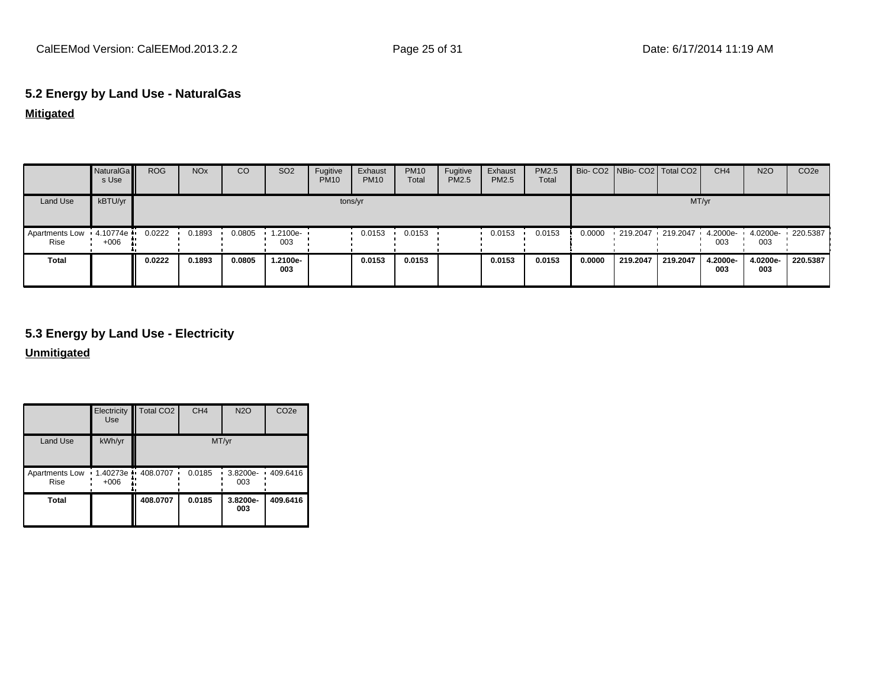## **5.2 Energy by Land Use - NaturalGas**

### **Mitigated**

|                                 | NaturalGa<br>s Use | <b>ROG</b> | <b>NO<sub>x</sub></b> | CO     | SO <sub>2</sub> | Fugitive<br><b>PM10</b> | Exhaust<br><b>PM10</b> | <b>PM10</b><br>Total | Fugitive<br><b>PM2.5</b> | Exhaust<br>PM2.5 | PM2.5<br>Total |        |                        | Bio- CO2   NBio- CO2   Total CO2 | CH <sub>4</sub> | <b>N2O</b>      | CO <sub>2</sub> e |
|---------------------------------|--------------------|------------|-----------------------|--------|-----------------|-------------------------|------------------------|----------------------|--------------------------|------------------|----------------|--------|------------------------|----------------------------------|-----------------|-----------------|-------------------|
| Land Use                        | kBTU/yr            |            |                       |        |                 |                         | tons/yr                |                      |                          |                  |                |        |                        | MT/yr                            |                 |                 |                   |
| Apartments Low 4.10774e<br>Rise | $+006$             | 0.0222     | 0.1893                | 0.0805 | 1.2100e-<br>003 |                         | 0.0153                 | 0.0153               |                          | 0.0153           | 0.0153         | 0.0000 | $-219.2047 - 219.2047$ |                                  | 4.2000e-<br>003 | 4.0200e-<br>003 | $\cdot$ 220.5387  |
| <b>Total</b>                    |                    | 0.0222     | 0.1893                | 0.0805 | 1.2100e-<br>003 |                         | 0.0153                 | 0.0153               |                          | 0.0153           | 0.0153         | 0.0000 | 219,2047               | 219,2047                         | 4.2000e-<br>003 | 4.0200e-<br>003 | 220.5387          |

# **5.3 Energy by Land Use - Electricity**

**Unmitigated**

|                        | Electricity<br>Use         | <b>Total CO2</b>      | CH <sub>4</sub> | <b>N2O</b>      | CO <sub>2e</sub>   |
|------------------------|----------------------------|-----------------------|-----------------|-----------------|--------------------|
| Land Use               | kWh/yr                     |                       |                 | MT/yr           |                    |
| Apartments Low<br>Rise | $\cdot$ 1.40273e<br>$+006$ | $\div 408.0707$<br>۰. | 0.0185          | 003             | 3.8200e- 1409.6416 |
| <b>Total</b>           |                            | 408.0707              | 0.0185          | 3.8200e-<br>003 | 409.6416           |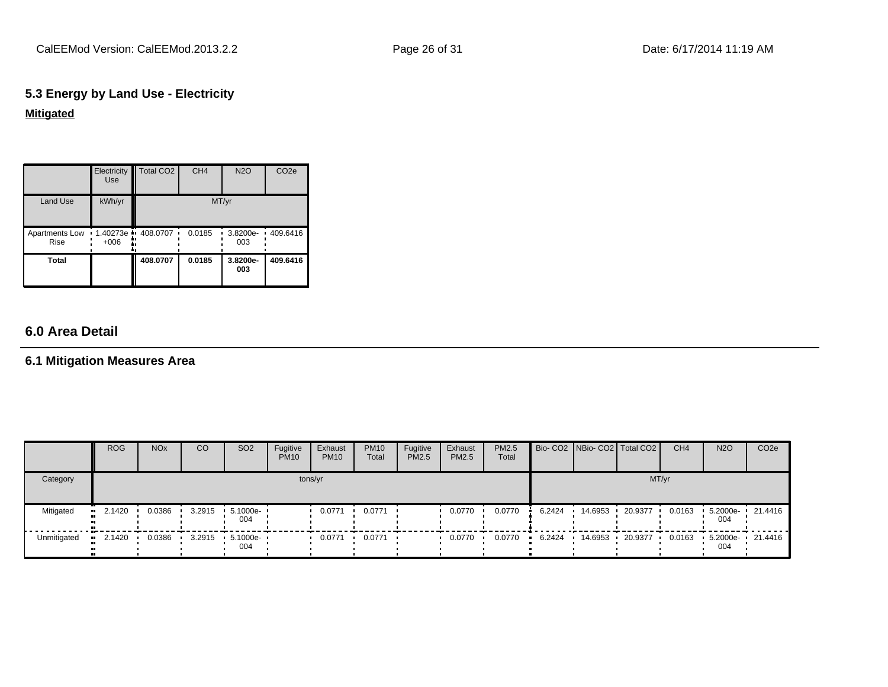## **5.3 Energy by Land Use - Electricity Mitigated**

|                               | Electricity<br><b>Use</b> | <b>Total CO2</b>          | CH <sub>4</sub> | <b>N2O</b>           | CO <sub>2e</sub> |
|-------------------------------|---------------------------|---------------------------|-----------------|----------------------|------------------|
| Land Use                      | kWh/yr                    |                           |                 | MT/yr                |                  |
| Apartments Low<br><b>Rise</b> | $+006$                    | 1.40273e - 408.0707<br>٠. | 0.0185          | 3.8200e-<br>٠<br>003 | 409.6416         |
| Total                         |                           | 408.0707                  | 0.0185          | 3.8200e-<br>003      | 409.6416         |

## **6.0 Area Detail**

### **6.1 Mitigation Measures Area**

|             | <b>ROG</b>            | <b>NO<sub>x</sub></b> | CO     | SO <sub>2</sub>          | Fugitive<br><b>PM10</b> | Exhaust<br><b>PM10</b> | <b>PM10</b><br>Total | Fugitive<br>PM2.5 | Exhaust<br><b>PM2.5</b> | <b>PM2.5</b><br>Total |        |         | Bio- CO2 NBio- CO2   Total CO2 | CH <sub>4</sub> | <b>N2O</b>              | CO <sub>2</sub> e |
|-------------|-----------------------|-----------------------|--------|--------------------------|-------------------------|------------------------|----------------------|-------------------|-------------------------|-----------------------|--------|---------|--------------------------------|-----------------|-------------------------|-------------------|
| Category    |                       |                       |        |                          |                         | tons/yr                |                      |                   |                         |                       |        |         | MT/yr                          |                 |                         |                   |
| Mitigated   | $\bullet$ 2.1420      | 0.0386                | 3.2915 | $5.1000e -$<br>004       |                         | 0.0771                 | 0.0771               |                   | 0.0770                  | 0.0770                | 6.2424 | 14.6953 | 20.9377                        | 0.0163          | 5.2000e-<br>004         | $\cdot$ 21.4416   |
| Unmitigated | $\blacksquare$ 2.1420 | 0.0386                |        | 3.2915   5.1000e-<br>004 |                         | 0.0771                 | 0.0771               |                   | 0.0770                  | 0.0770                | 6.2424 | 14.6953 | 20.9377                        | 0.0163          | 5.2000e- 21.4416<br>004 |                   |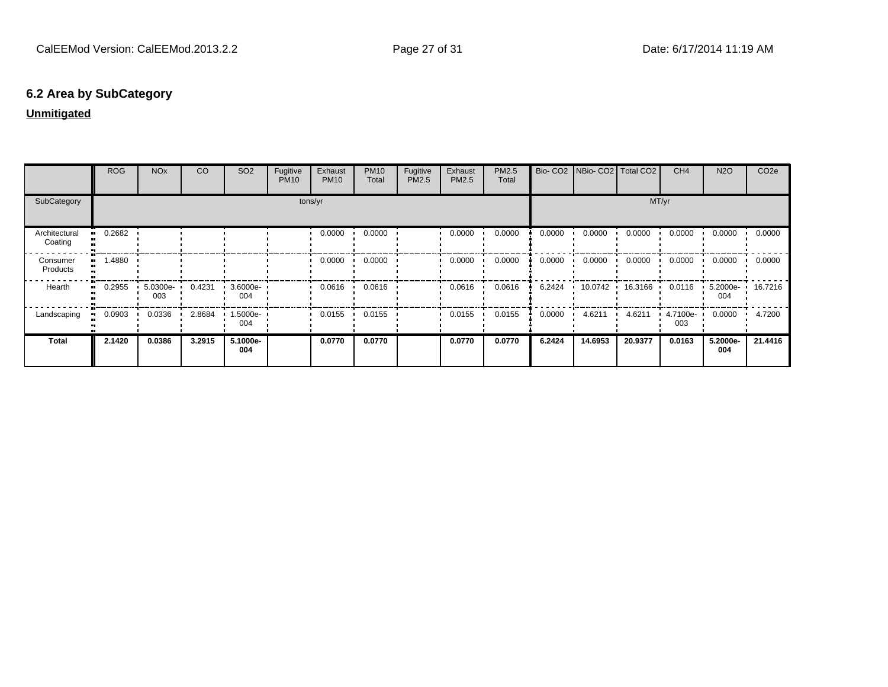## **6.2 Area by SubCategory**

## **Unmitigated**

|                          | <b>ROG</b>          | <b>NO<sub>x</sub></b> | CO     | SO <sub>2</sub> | Fugitive<br><b>PM10</b> | Exhaust<br><b>PM10</b> | <b>PM10</b><br>Total | Fugitive<br>PM2.5 | Exhaust<br>PM2.5 | PM2.5<br>Total |        | Bio- CO2   NBio- CO2   Total CO2 |         | CH <sub>4</sub> | <b>N2O</b>      | CO <sub>2e</sub> |
|--------------------------|---------------------|-----------------------|--------|-----------------|-------------------------|------------------------|----------------------|-------------------|------------------|----------------|--------|----------------------------------|---------|-----------------|-----------------|------------------|
| SubCategory              |                     |                       |        |                 |                         | tons/yr                |                      |                   |                  |                |        |                                  | MT/yr   |                 |                 |                  |
| Architectural<br>Coating | 0.2682              |                       |        |                 |                         | 0.0000                 | 0.0000               |                   | 0.0000           | 0.0000         | 0.0000 | 0.0000                           | 0.0000  | 0.0000          | 0.0000          | 0.0000           |
| Consumer<br>Products     | 1.4880<br>          |                       |        |                 |                         | 0.0000                 | 0.0000               |                   | 0.0000           | 0.0000         | 0.0000 | 0.0000                           | 0.0000  | 0.0000          | 0.0000          | 0.0000           |
| Hearth                   | 0.2955<br>$\bullet$ | $5.0300e-$<br>003     | 0.4231 | 3.6000e-<br>004 |                         | 0.0616                 | 0.0616               |                   | 0.0616           | 0.0616         | 6.2424 | $10.0742$ $\cdot$                | 16.3166 | 0.0116          | 5.2000e-<br>004 | 16.7216          |
| Landscaping              | 0.0903              | 0.0336                | 2.8684 | 1.5000e-<br>004 |                         | 0.0155                 | 0.0155               |                   | 0.0155           | 0.0155         | 0.0000 | 4.6211                           | 4.6211  | 4.7100e-<br>003 | 0.0000          | 4.7200           |
| <b>Total</b>             | 2.1420              | 0.0386                | 3.2915 | 5.1000e-<br>004 |                         | 0.0770                 | 0.0770               |                   | 0.0770           | 0.0770         | 6.2424 | 14.6953                          | 20.9377 | 0.0163          | 5.2000e-<br>004 | 21.4416          |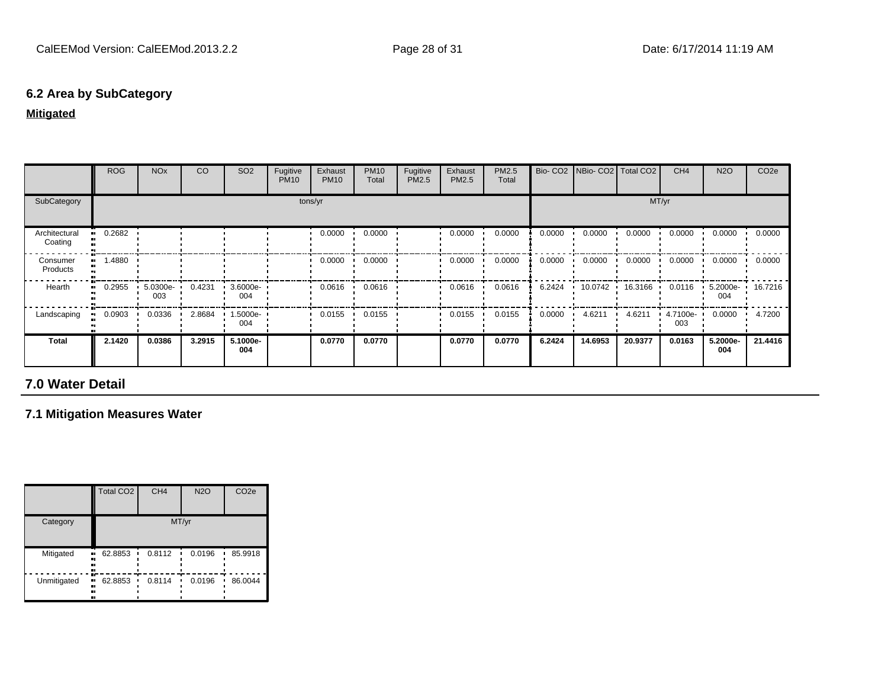## **6.2 Area by SubCategory**

#### **Mitigated**

|                          | <b>ROG</b> | <b>NO<sub>x</sub></b> | CO     | SO <sub>2</sub>    | Fugitive<br><b>PM10</b> | Exhaust<br><b>PM10</b> | <b>PM10</b><br>Total | Fugitive<br>PM2.5 | Exhaust<br>PM2.5 | PM2.5<br>Total | Bio-CO <sub>2</sub> | NBio- CO2   Total CO2 |         | CH <sub>4</sub> | <b>N2O</b>      | CO <sub>2e</sub> |
|--------------------------|------------|-----------------------|--------|--------------------|-------------------------|------------------------|----------------------|-------------------|------------------|----------------|---------------------|-----------------------|---------|-----------------|-----------------|------------------|
| SubCategory              |            |                       |        |                    |                         | tons/yr                |                      |                   |                  |                |                     |                       | MT/yr   |                 |                 |                  |
| Architectural<br>Coating | 0.2682     |                       |        |                    |                         | 0.0000<br>$\cdot$      | 0.0000               |                   | 0.0000           | 0.0000         | 0.0000              | 0.0000                | 0.0000  | 0.0000          | 0.0000          | 0.0000           |
| Consumer<br>Products     | 1.4880     |                       |        |                    |                         | 0.0000                 | 0.0000               |                   | 0.0000           | 0.0000         | 0.0000              | 0.0000                | 0.0000  | 0.0000          | 0.0000          | 0.0000           |
| Hearth                   | 0.2955     | 5.0300e-<br>003       | 0.4231 | $3.6000e -$<br>004 |                         | 0.0616                 | 0.0616               |                   | 0.0616           | 0.0616         | 6.2424              | 10.0742               | 16.3166 | 0.0116          | 5.2000e-<br>004 | 16.7216          |
| Landscaping              | 0.0903     | 0.0336                | 2.8684 | .5000e-<br>004     |                         | 0.0155                 | 0.0155               |                   | 0.0155           | 0.0155         | 0.0000              | 4.6211                | 4.6211  | 4.7100e-<br>003 | 0.0000          | 4.7200           |
| <b>Total</b>             | 2.1420     | 0.0386                | 3.2915 | 5.1000e-<br>004    |                         | 0.0770                 | 0.0770               |                   | 0.0770           | 0.0770         | 6.2424              | 14.6953               | 20.9377 | 0.0163          | 5.2000e-<br>004 | 21.4416          |

## **7.0 Water Detail**

## **7.1 Mitigation Measures Water**

|             | <b>Total CO2</b>          | CH <sub>4</sub> | <b>N2O</b> | CO <sub>2e</sub> |
|-------------|---------------------------|-----------------|------------|------------------|
| Category    |                           |                 | MT/yr      |                  |
| Mitigated   | 62.8853<br>ш.<br><br><br> | 0.8112          | 0.0196     | 85.9918          |
| Unmitigated | 62.8853<br><br><br><br>   | 0.8114          | 0.0196     | 86.0044          |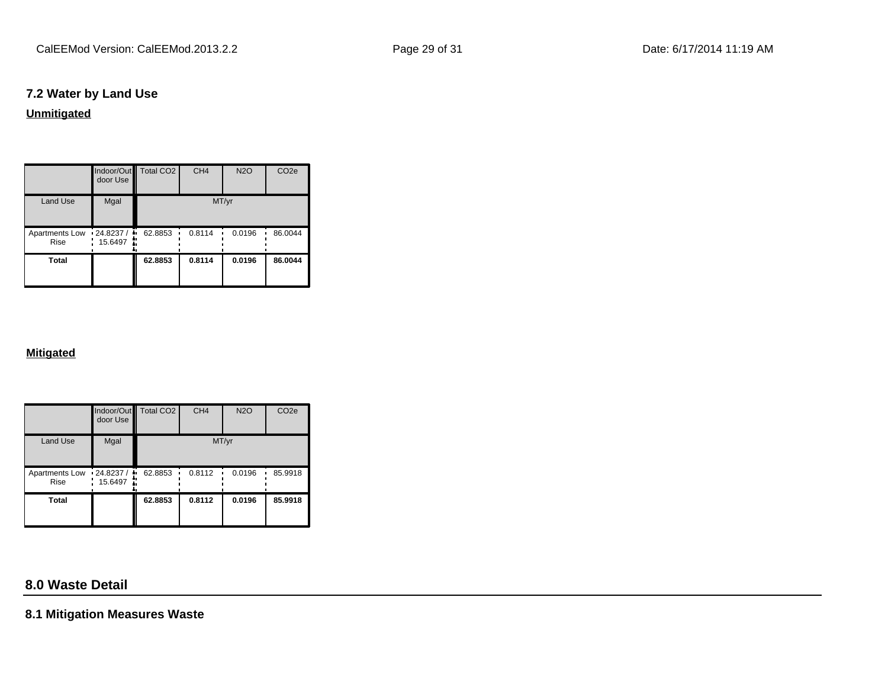## **7.2 Water by Land Use**

**Unmitigated**

|                                   | door Use | Indoor/Out Total CO2 | CH <sub>4</sub> | <b>N2O</b> | CO <sub>2e</sub> |
|-----------------------------------|----------|----------------------|-----------------|------------|------------------|
| <b>Land Use</b>                   | Mgal     |                      | MT/yr           |            |                  |
| Apartments Low 124.8237 /<br>Rise | 15.6497  | 62.8853              | 0.8114          | 0.0196     | 86.0044          |
| <b>Total</b>                      |          | 62.8853              | 0.8114          | 0.0196     | 86.0044          |

#### **Mitigated**

|                        | door Use                    | Indoor/Out Total CO2 | CH <sub>4</sub> | <b>N2O</b> | CO <sub>2e</sub> |
|------------------------|-----------------------------|----------------------|-----------------|------------|------------------|
| <b>Land Use</b>        | Mgal                        |                      | MT/yr           |            |                  |
| Apartments Low<br>Rise | $-24.8237/$<br>÷<br>15.6497 | 62.8853              | 0.8112          | 0.0196     | 85.9918          |
| <b>Total</b>           |                             | 62.8853              | 0.8112          | 0.0196     | 85.9918          |

## **8.0 Waste Detail**

**8.1 Mitigation Measures Waste**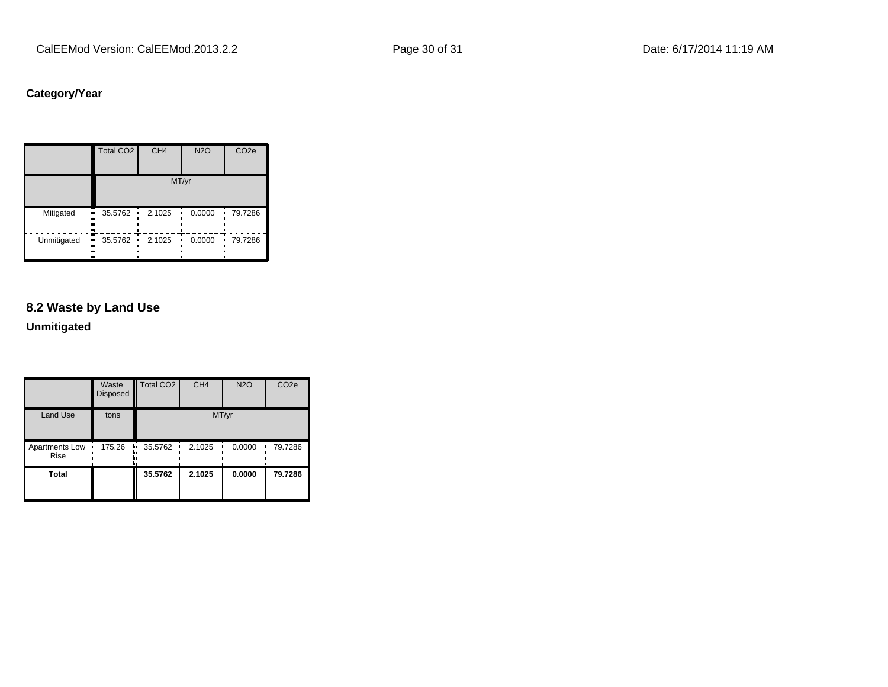## **Category/Year**

|                               | Total CO <sub>2</sub> | CH <sub>4</sub> | <b>N2O</b> | CO <sub>2e</sub> |
|-------------------------------|-----------------------|-----------------|------------|------------------|
|                               |                       |                 | MT/yr      |                  |
| Mitigated<br><br><br>         | 35.5762<br>٠<br>      | 2.1025          | 0.0000     | 79.7286          |
| Unmitigated<br>.,<br><br><br> | 35.5762<br>٠          | 2.1025          | 0.0000     | 79.7286<br>п     |

## **8.2 Waste by Land Use**

## **Unmitigated**

|                        | Waste<br>Disposed | Total CO <sub>2</sub> | CH <sub>4</sub> | <b>N2O</b> | CO <sub>2e</sub> |
|------------------------|-------------------|-----------------------|-----------------|------------|------------------|
| <b>Land Use</b>        | tons              |                       | MT/yr           |            |                  |
| Apartments Low<br>Rise | 175.26<br>٠       | 35.5762<br>ш.<br>٠    | 2.1025<br>٠     | 0.0000     | 79.7286          |
| <b>Total</b>           |                   | 35.5762               | 2.1025          | 0.0000     | 79.7286          |